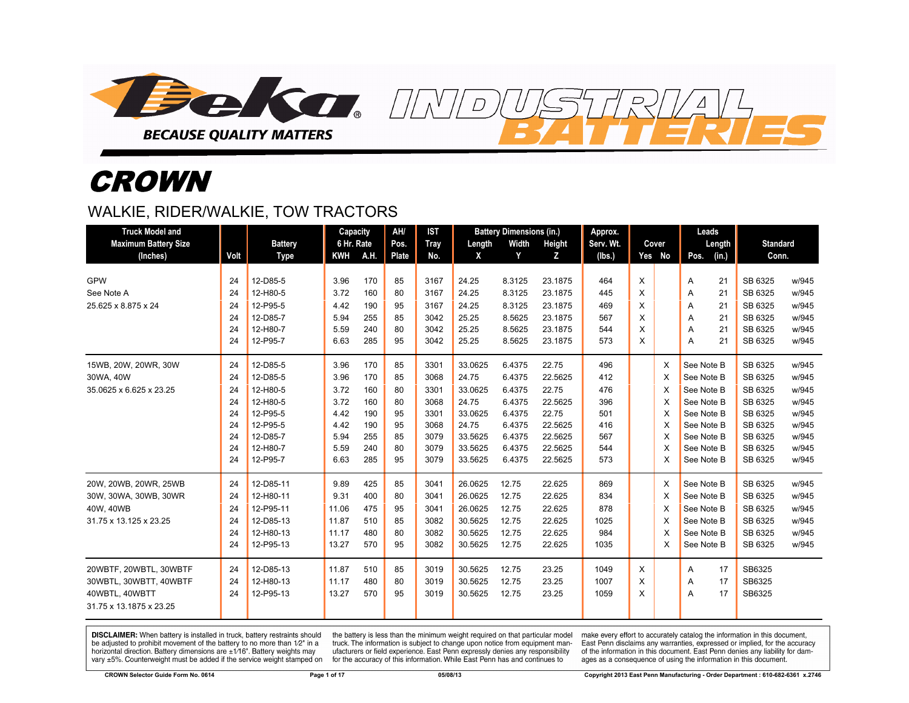

# **CROWN**

#### WALKIE, RIDER/WALKIE, TOW TRACTORS

| <b>Truck Model and</b>      |      |                | Capacity   |      | AH/          | <b>IST</b>  |         | <b>Battery Dimensions (in.)</b> |         | Approx.   |   |        | Leads      |        |                 |       |
|-----------------------------|------|----------------|------------|------|--------------|-------------|---------|---------------------------------|---------|-----------|---|--------|------------|--------|-----------------|-------|
| <b>Maximum Battery Size</b> |      | <b>Battery</b> | 6 Hr. Rate |      | Pos.         | <b>Tray</b> | Length  | Width                           | Height  | Serv. Wt. |   | Cover  |            | Length | <b>Standard</b> |       |
| (Inches)                    | Volt | Type           | <b>KWH</b> | A.H. | <b>Plate</b> | No.         | X       | Y                               | z       | (lbs.)    |   | Yes No | Pos.       | (in.)  | Conn.           |       |
|                             |      |                |            |      |              |             |         |                                 |         |           |   |        |            |        |                 |       |
| <b>GPW</b>                  | 24   | 12-D85-5       | 3.96       | 170  | 85           | 3167        | 24.25   | 8.3125                          | 23.1875 | 464       | X |        | Α          | 21     | SB 6325         | w/945 |
| See Note A                  | 24   | 12-H80-5       | 3.72       | 160  | 80           | 3167        | 24.25   | 8.3125                          | 23.1875 | 445       | X |        | A          | 21     | SB 6325         | w/945 |
| 25.625 x 8.875 x 24         | 24   | 12-P95-5       | 4.42       | 190  | 95           | 3167        | 24.25   | 8.3125                          | 23.1875 | 469       | X |        | A          | 21     | SB 6325         | w/945 |
|                             | 24   | 12-D85-7       | 5.94       | 255  | 85           | 3042        | 25.25   | 8.5625                          | 23.1875 | 567       | X |        | A          | 21     | SB 6325         | w/945 |
|                             | 24   | 12-H80-7       | 5.59       | 240  | 80           | 3042        | 25.25   | 8.5625                          | 23.1875 | 544       | X |        | A          | 21     | SB 6325         | w/945 |
|                             | 24   | 12-P95-7       | 6.63       | 285  | 95           | 3042        | 25.25   | 8.5625                          | 23.1875 | 573       | X |        | A          | 21     | SB 6325         | w/945 |
| 15WB, 20W, 20WR, 30W        | 24   | 12-D85-5       | 3.96       | 170  | 85           | 3301        | 33.0625 | 6.4375                          | 22.75   | 496       |   | X      | See Note B |        | SB 6325         | w/945 |
| 30WA, 40W                   | 24   | 12-D85-5       | 3.96       | 170  | 85           | 3068        | 24.75   | 6.4375                          | 22.5625 | 412       |   | X      | See Note B |        | SB 6325         | w/945 |
| 35.0625 x 6.625 x 23.25     | 24   | 12-H80-5       | 3.72       | 160  | 80           | 3301        | 33.0625 | 6.4375                          | 22.75   | 476       |   | X      | See Note B |        | SB 6325         | w/945 |
|                             | 24   | 12-H80-5       | 3.72       | 160  | 80           | 3068        | 24.75   | 6.4375                          | 22.5625 | 396       |   | X      | See Note B |        | SB 6325         | w/945 |
|                             | 24   | 12-P95-5       | 4.42       | 190  | 95           | 3301        | 33.0625 | 6.4375                          | 22.75   | 501       |   | X      | See Note B |        | SB 6325         | w/945 |
|                             | 24   | 12-P95-5       | 4.42       | 190  | 95           | 3068        | 24.75   | 6.4375                          | 22.5625 | 416       |   | X      | See Note B |        | SB 6325         | w/945 |
|                             | 24   | 12-D85-7       | 5.94       | 255  | 85           | 3079        | 33.5625 | 6.4375                          | 22.5625 | 567       |   | X      | See Note B |        | SB 6325         | w/945 |
|                             | 24   | 12-H80-7       | 5.59       | 240  | 80           | 3079        | 33.5625 | 6.4375                          | 22.5625 | 544       |   | X      | See Note B |        | SB 6325         | w/945 |
|                             | 24   | 12-P95-7       | 6.63       | 285  | 95           | 3079        | 33.5625 | 6.4375                          | 22.5625 | 573       |   | X      | See Note B |        | SB 6325         | w/945 |
| 20W, 20WB, 20WR, 25WB       | 24   | 12-D85-11      | 9.89       | 425  | 85           | 3041        | 26.0625 | 12.75                           | 22.625  | 869       |   | X      | See Note B |        | SB 6325         | w/945 |
| 30W, 30WA, 30WB, 30WR       | 24   | 12-H80-11      | 9.31       | 400  | 80           | 3041        | 26.0625 | 12.75                           | 22.625  | 834       |   | X      | See Note B |        | SB 6325         | w/945 |
| 40W, 40WB                   | 24   | 12-P95-11      | 11.06      | 475  | 95           | 3041        | 26.0625 | 12.75                           | 22.625  | 878       |   | X      | See Note B |        | SB 6325         | w/945 |
| 31.75 x 13.125 x 23.25      | 24   | 12-D85-13      | 11.87      | 510  | 85           | 3082        | 30.5625 | 12.75                           | 22.625  | 1025      |   | X      | See Note B |        | SB 6325         | w/945 |
|                             | 24   | 12-H80-13      | 11.17      | 480  | 80           | 3082        | 30.5625 | 12.75                           | 22.625  | 984       |   | X      | See Note B |        | SB 6325         | w/945 |
|                             | 24   | 12-P95-13      | 13.27      | 570  | 95           | 3082        | 30.5625 | 12.75                           | 22.625  | 1035      |   | X      | See Note B |        | SB 6325         | w/945 |
| 20WBTF, 20WBTL, 30WBTF      | 24   | 12-D85-13      | 11.87      | 510  | 85           | 3019        | 30.5625 | 12.75                           | 23.25   | 1049      | X |        | A          | 17     | SB6325          |       |
| 30WBTL, 30WBTT, 40WBTF      | 24   | 12-H80-13      | 11.17      | 480  | 80           | 3019        | 30.5625 | 12.75                           | 23.25   | 1007      | X |        | A          | 17     | SB6325          |       |
| 40WBTL. 40WBTT              | 24   | 12-P95-13      | 13.27      | 570  | 95           | 3019        | 30.5625 | 12.75                           | 23.25   | 1059      | X |        | A          | 17     | SB6325          |       |
| 31.75 x 13.1875 x 23.25     |      |                |            |      |              |             |         |                                 |         |           |   |        |            |        |                 |       |

 $\overline{D}$ 

DISCLAIMER: When battery is installed in truck, battery restraints should be adjusted to prohibit movement of the battery to no more than 1/2" in a horizontal direction. Battery dimensions are  $\pm 1/16$ ". Battery weights may vary ±5%. Counterweight must be added if the service weight stamped on

the battery is less than the minimum weight required on that particular model truck. The information is subject to change upon notice from equipment manufacturers or field experience. East Penn expressly denies any responsibility for the accuracy of this information. While East Penn has and continues to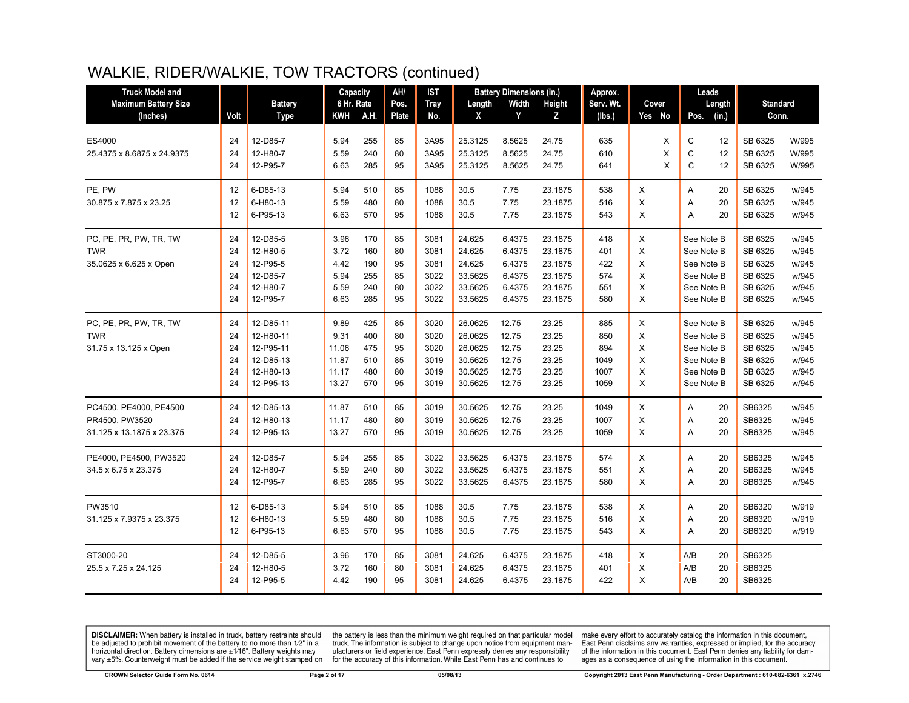# WALKIE, RIDER/WALKIE, TOW TRACTORS (continued)

| <b>Truck Model and</b>               |          |                        | Capacity       |            | AH/      | <b>IST</b>   |                    | <b>Battery Dimensions (in.)</b> |                    | Approx.      |        |        |                          | Leads    |                    |                |
|--------------------------------------|----------|------------------------|----------------|------------|----------|--------------|--------------------|---------------------------------|--------------------|--------------|--------|--------|--------------------------|----------|--------------------|----------------|
| <b>Maximum Battery Size</b>          |          | <b>Battery</b>         | 6 Hr. Rate     |            | Pos.     | <b>Tray</b>  | Length             | <b>Width</b>                    | Height             | Serv. Wt.    |        | Cover  |                          | Length   | <b>Standard</b>    |                |
| (Inches)                             | Volt     | <b>Type</b>            | KWH            | A.H.       | Plate    | No.          | X                  | Y                               | z                  | (lbs.)       |        | Yes No | Pos.                     | (in.)    | Conn.              |                |
| ES4000<br>25.4375 x 8.6875 x 24.9375 | 24<br>24 | 12-D85-7<br>12-H80-7   | 5.94<br>5.59   | 255<br>240 | 85<br>80 | 3A95<br>3A95 | 25.3125<br>25.3125 | 8.5625<br>8.5625                | 24.75<br>24.75     | 635<br>610   |        | X<br>X | C<br>C                   | 12<br>12 | SB 6325<br>SB 6325 | W/995<br>W/995 |
|                                      | 24       | 12-P95-7               | 6.63           | 285        | 95       | 3A95         | 25.3125            | 8.5625                          | 24.75              | 641          |        | X      | C                        | 12       | SB 6325            | W/995          |
| PE, PW                               | 12       | 6-D85-13               | 5.94           | 510        | 85       | 1088         | 30.5               | 7.75                            | 23.1875            | 538          | X      |        | Α                        | 20       | SB 6325            | w/945          |
| 30.875 x 7.875 x 23.25               | 12<br>12 | 6-H80-13<br>6-P95-13   | 5.59<br>6.63   | 480<br>570 | 80<br>95 | 1088<br>1088 | 30.5<br>30.5       | 7.75<br>7.75                    | 23.1875<br>23.1875 | 516<br>543   | X<br>X |        | A<br>A                   | 20<br>20 | SB 6325<br>SB 6325 | w/945<br>w/945 |
| PC, PE, PR, PW, TR, TW<br><b>TWR</b> | 24<br>24 | 12-D85-5<br>12-H80-5   | 3.96<br>3.72   | 170<br>160 | 85<br>80 | 3081<br>3081 | 24.625<br>24.625   | 6.4375<br>6.4375                | 23.1875<br>23.1875 | 418<br>401   | X<br>X |        | See Note B<br>See Note B |          | SB 6325<br>SB 6325 | w/945<br>w/945 |
| 35.0625 x 6.625 x Open               | 24       | 12-P95-5               | 4.42           | 190        | 95       | 3081         | 24.625             | 6.4375                          | 23.1875            | 422          | X      |        | See Note B               |          | SB 6325            | w/945          |
|                                      | 24       | 12-D85-7               | 5.94           | 255        | 85       | 3022         | 33.5625            | 6.4375                          | 23.1875            | 574          | X      |        | See Note B               |          | SB 6325            | w/945          |
|                                      | 24       | 12-H80-7               | 5.59           | 240        | 80       | 3022         | 33.5625            | 6.4375                          | 23.1875            | 551          | X      |        | See Note B               |          | SB 6325            | w/945          |
|                                      | 24       | 12-P95-7               | 6.63           | 285        | 95       | 3022         | 33.5625            | 6.4375                          | 23.1875            | 580          | X      |        | See Note B               |          | SB 6325            | w/945          |
| PC, PE, PR, PW, TR, TW               | 24       | 12-D85-11              | 9.89           | 425        | 85       | 3020         | 26.0625            | 12.75                           | 23.25              | 885          | X      |        | See Note B               |          | SB 6325            | w/945          |
| <b>TWR</b>                           | 24       | 12-H80-11              | 9.31           | 400        | 80       | 3020         | 26.0625            | 12.75                           | 23.25              | 850          | X      |        | See Note B               |          | SB 6325            | w/945          |
| 31.75 x 13.125 x Open                | 24       | 12-P95-11              | 11.06          | 475        | 95       | 3020         | 26.0625            | 12.75                           | 23.25              | 894          | X      |        | See Note B               |          | SB 6325            | w/945          |
|                                      | 24<br>24 | 12-D85-13<br>12-H80-13 | 11.87<br>11.17 | 510<br>480 | 85<br>80 | 3019<br>3019 | 30.5625<br>30.5625 | 12.75<br>12.75                  | 23.25<br>23.25     | 1049<br>1007 | X<br>X |        | See Note B<br>See Note B |          | SB 6325<br>SB 6325 | w/945<br>w/945 |
|                                      | 24       | 12-P95-13              | 13.27          | 570        | 95       | 3019         | 30.5625            | 12.75                           | 23.25              | 1059         | X      |        | See Note B               |          | SB 6325            | w/945          |
| PC4500, PE4000, PE4500               | 24       | 12-D85-13              | 11.87          | 510        | 85       | 3019         | 30.5625            | 12.75                           | 23.25              | 1049         | X      |        | A                        | 20       | SB6325             | w/945          |
| PR4500, PW3520                       | 24       | 12-H80-13              | 11.17          | 480        | 80       | 3019         | 30.5625            | 12.75                           | 23.25              | 1007         | X      |        | A                        | 20       | SB6325             | w/945          |
| 31.125 x 13.1875 x 23.375            | 24       | 12-P95-13              | 13.27          | 570        | 95       | 3019         | 30.5625            | 12.75                           | 23.25              | 1059         | X      |        | A                        | 20       | SB6325             | w/945          |
| PE4000, PE4500, PW3520               | 24       | 12-D85-7               | 5.94           | 255        | 85       | 3022         | 33.5625            | 6.4375                          | 23.1875            | 574          | X      |        | Α                        | 20       | SB6325             | w/945          |
| 34.5 x 6.75 x 23.375                 | 24       | 12-H80-7               | 5.59           | 240        | 80       | 3022         | 33.5625            | 6.4375                          | 23.1875            | 551          | X      |        | A                        | 20       | SB6325             | w/945          |
|                                      | 24       | 12-P95-7               | 6.63           | 285        | 95       | 3022         | 33.5625            | 6.4375                          | 23.1875            | 580          | X      |        | A                        | 20       | SB6325             | w/945          |
| PW3510                               | 12       | 6-D85-13               | 5.94           | 510        | 85       | 1088         | 30.5               | 7.75                            | 23.1875            | 538          | X      |        | A                        | 20       | SB6320             | w/919          |
| 31.125 x 7.9375 x 23.375             | 12       | 6-H80-13               | 5.59           | 480        | 80       | 1088         | 30.5               | 7.75                            | 23.1875            | 516          | X      |        | Α                        | 20       | SB6320             | w/919          |
|                                      | 12       | 6-P95-13               | 6.63           | 570        | 95       | 1088         | 30.5               | 7.75                            | 23.1875            | 543          | X      |        | A                        | 20       | SB6320             | w/919          |
| ST3000-20                            | 24       | 12-D85-5               | 3.96           | 170        | 85       | 3081         | 24.625             | 6.4375                          | 23.1875            | 418          | X      |        | A/B                      | 20       | SB6325             |                |
| 25.5 x 7.25 x 24.125                 | 24       | 12-H80-5               | 3.72           | 160        | 80       | 3081         | 24.625             | 6.4375                          | 23.1875            | 401          | X      |        | A/B                      | 20       | SB6325             |                |
|                                      | 24       | 12-P95-5               | 4.42           | 190        | 95       | 3081         | 24.625             | 6.4375                          | 23.1875            | 422          | X      |        | A/B                      | 20       | SB6325             |                |

**DISCLAIMER:** When battery is installed in truck, battery restraints should be adjusted to prohibit movement of the battery to no more than  $1/2$ " in a horizontal direction. Battery dimensions are  $\pm 1/16$ ". Battery weig

the battery is less than the minimum weight required on that particular model<br>truck. The information is subject to change upon notice from equipment manufacturers or field experience. East Penn expressly denies any responsibility for the accuracy of this information. While East Penn has and continues to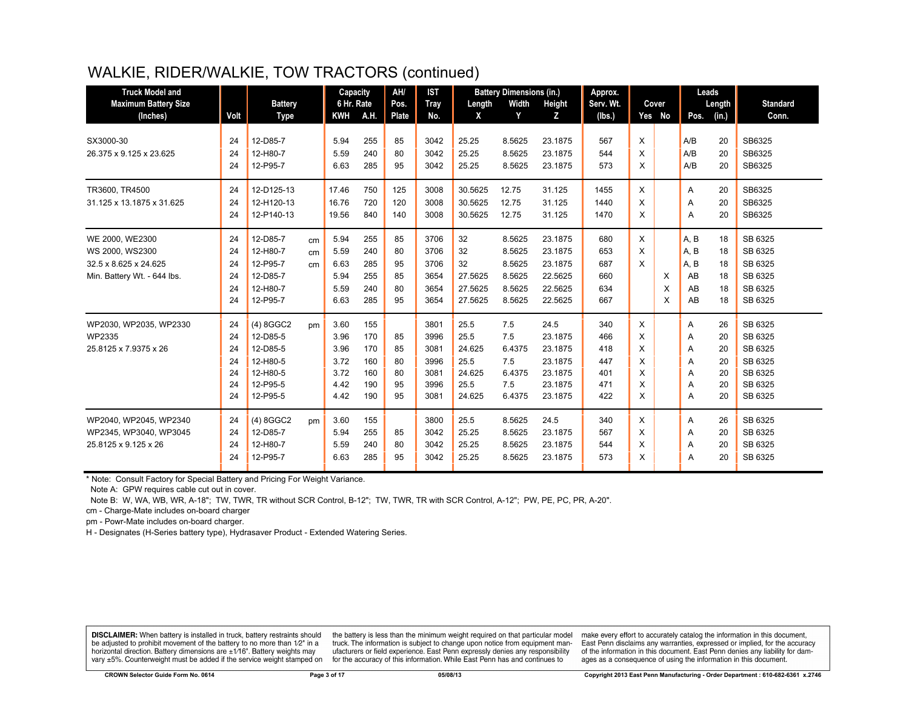# WALKIE, RIDER/WALKIE, TOW TRACTORS (continued)

| <b>Truck Model and</b><br><b>Maximum Battery Size</b> |      | <b>Battery</b> |               | Capacity<br>6 Hr. Rate |      | AH/<br>Pos. | <b>IST</b><br>Tray | Length  | <b>Battery Dimensions (in.)</b><br>Width | Height  | Approx.<br>Serv. Wt. |   | Cover  |      | Leads<br>Length | <b>Standard</b> |
|-------------------------------------------------------|------|----------------|---------------|------------------------|------|-------------|--------------------|---------|------------------------------------------|---------|----------------------|---|--------|------|-----------------|-----------------|
| (Inches)                                              | Volt | <b>Type</b>    |               | <b>KWH</b>             | A.H. | Plate       | No.                | X       | Y                                        | z       | (Ibs.)               |   | Yes No | Pos. | (in.)           | Conn.           |
|                                                       |      |                |               |                        |      |             |                    |         |                                          |         |                      |   |        |      |                 |                 |
| SX3000-30                                             | 24   | 12-D85-7       |               | 5.94                   | 255  | 85          | 3042               | 25.25   | 8.5625                                   | 23.1875 | 567                  | X |        | A/B  | 20              | SB6325          |
| 26.375 x 9.125 x 23.625                               | 24   | 12-H80-7       |               | 5.59                   | 240  | 80          | 3042               | 25.25   | 8.5625                                   | 23.1875 | 544                  | X |        | A/B  | 20              | SB6325          |
|                                                       | 24   | 12-P95-7       |               | 6.63                   | 285  | 95          | 3042               | 25.25   | 8.5625                                   | 23.1875 | 573                  | X |        | A/B  | 20              | SB6325          |
| TR3600, TR4500                                        | 24   | 12-D125-13     |               | 17.46                  | 750  | 125         | 3008               | 30.5625 | 12.75                                    | 31.125  | 1455                 | X |        | Α    | 20              | SB6325          |
| 31.125 x 13.1875 x 31.625                             | 24   | 12-H120-13     |               | 16.76                  | 720  | 120         | 3008               | 30.5625 | 12.75                                    | 31.125  | 1440                 | X |        | A    | 20              | SB6325          |
|                                                       | 24   | 12-P140-13     |               | 19.56                  | 840  | 140         | 3008               | 30.5625 | 12.75                                    | 31.125  | 1470                 | X |        | A    | 20              | SB6325          |
| WE 2000, WE2300                                       | 24   | 12-D85-7       | cm            | 5.94                   | 255  | 85          | 3706               | 32      | 8.5625                                   | 23.1875 | 680                  | X |        | A, B | 18              | SB 6325         |
| WS 2000, WS2300                                       | 24   | 12-H80-7       | cm            | 5.59                   | 240  | 80          | 3706               | 32      | 8.5625                                   | 23.1875 | 653                  | X |        | A, B | 18              | SB 6325         |
| 32.5 x 8.625 x 24.625                                 | 24   | 12-P95-7       | cm            | 6.63                   | 285  | 95          | 3706               | 32      | 8.5625                                   | 23.1875 | 687                  | X |        | A, B | 18              | SB 6325         |
| Min. Battery Wt. - 644 lbs.                           | 24   | 12-D85-7       |               | 5.94                   | 255  | 85          | 3654               | 27.5625 | 8.5625                                   | 22.5625 | 660                  |   | X      | AB   | 18              | SB 6325         |
|                                                       | 24   | 12-H80-7       |               | 5.59                   | 240  | 80          | 3654               | 27.5625 | 8.5625                                   | 22.5625 | 634                  |   | X      | AB   | 18              | SB 6325         |
|                                                       | 24   | 12-P95-7       |               | 6.63                   | 285  | 95          | 3654               | 27.5625 | 8.5625                                   | 22.5625 | 667                  |   | X      | AB   | 18              | SB 6325         |
| WP2030, WP2035, WP2330                                | 24   | (4) 8GGC2      | <sub>pm</sub> | 3.60                   | 155  |             | 3801               | 25.5    | 7.5                                      | 24.5    | 340                  | X |        | Α    | 26              | SB 6325         |
| <b>WP2335</b>                                         | 24   | 12-D85-5       |               | 3.96                   | 170  | 85          | 3996               | 25.5    | 7.5                                      | 23.1875 | 466                  | X |        | A    | 20              | SB 6325         |
| 25.8125 x 7.9375 x 26                                 | 24   | 12-D85-5       |               | 3.96                   | 170  | 85          | 3081               | 24.625  | 6.4375                                   | 23.1875 | 418                  | X |        | A    | 20              | SB 6325         |
|                                                       | 24   | 12-H80-5       |               | 3.72                   | 160  | 80          | 3996               | 25.5    | 7.5                                      | 23.1875 | 447                  | X |        | A    | 20              | SB 6325         |
|                                                       | 24   | 12-H80-5       |               | 3.72                   | 160  | 80          | 3081               | 24.625  | 6.4375                                   | 23.1875 | 401                  | X |        | Α    | 20              | SB 6325         |
|                                                       | 24   | 12-P95-5       |               | 4.42                   | 190  | 95          | 3996               | 25.5    | 7.5                                      | 23.1875 | 471                  | X |        | A    | 20              | SB 6325         |
|                                                       | 24   | 12-P95-5       |               | 4.42                   | 190  | 95          | 3081               | 24.625  | 6.4375                                   | 23.1875 | 422                  | X |        | A    | 20              | SB 6325         |
| WP2040, WP2045, WP2340                                | 24   | (4) 8GGC2      | pm            | 3.60                   | 155  |             | 3800               | 25.5    | 8.5625                                   | 24.5    | 340                  | X |        | A    | 26              | SB 6325         |
| WP2345, WP3040, WP3045                                | 24   | 12-D85-7       |               | 5.94                   | 255  | 85          | 3042               | 25.25   | 8.5625                                   | 23.1875 | 567                  | X |        | A    | 20              | SB 6325         |
| 25.8125 x 9.125 x 26                                  | 24   | 12-H80-7       |               | 5.59                   | 240  | 80          | 3042               | 25.25   | 8.5625                                   | 23.1875 | 544                  | X |        | A    | 20              | SB 6325         |
|                                                       | 24   | 12-P95-7       |               | 6.63                   | 285  | 95          | 3042               | 25.25   | 8.5625                                   | 23.1875 | 573                  | X |        | A    | 20              | SB 6325         |

\* Note: Consult Factory for Special Battery and Pricing For Weight Variance.

Note A: GPW requires cable cut out in cover.

Note B: W, WA, WB, WR, A-18"; TW, TWR, TR without SCR Control, B-12"; TW, TWR, TR with SCR Control, A-12"; PW, PE, PC, PR, A-20".

cm - Charge-Mate includes on-board charger

pm - Powr-Mate includes on-board charger.

H - Designates (H-Series battery type), Hydrasaver Product - Extended Watering Series.

DISCLAIMER: When battery is installed in truck, battery restraints should be adjusted to prohibit movement of the battery to no more than 1/2" in a horizontal direction. Battery dimensions are  $\pm 1/16$ ". Battery weights may vary ±5%. Counterweight must be added if the service weight stamped on

the battery is less than the minimum weight required on that particular model<br>truck. The information is subject to change upon notice from equipment manufacturers or field experience. East Penn expressly denies any responsibility for the accuracy of this information. While East Penn has and continues to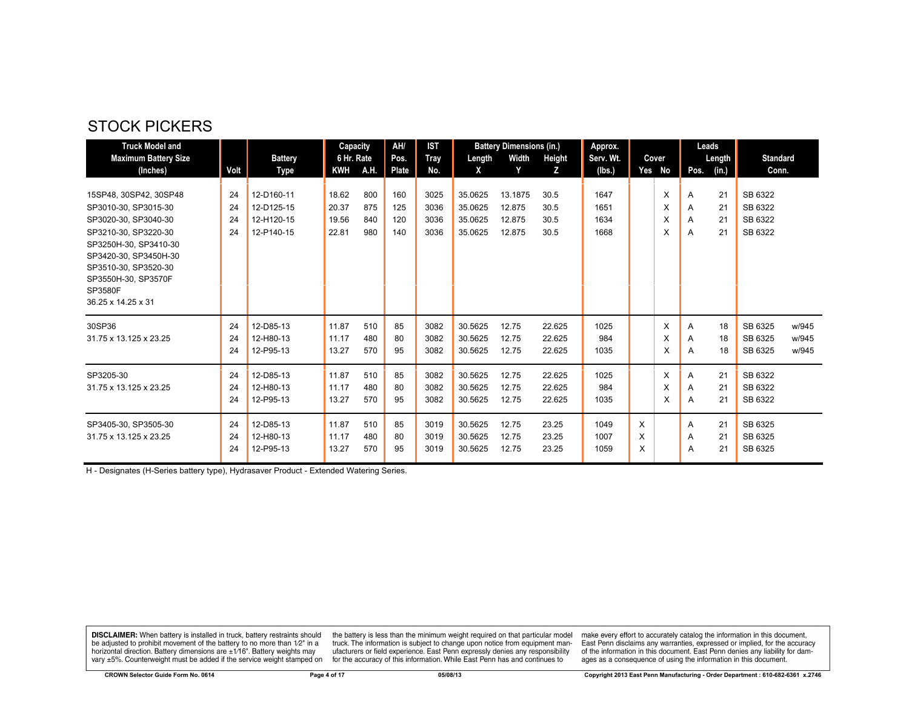#### STOCK PICKERS

| <b>Truck Model and</b>                                                                                                                                                                                                           |                      |                                                      | Capacity                         |                          | AH/                      | <b>IST</b>                   |                                          | <b>Battery Dimensions (in.)</b>       |                              | Approx.                      |             |                  |                  | Leads                |                                          |                         |
|----------------------------------------------------------------------------------------------------------------------------------------------------------------------------------------------------------------------------------|----------------------|------------------------------------------------------|----------------------------------|--------------------------|--------------------------|------------------------------|------------------------------------------|---------------------------------------|------------------------------|------------------------------|-------------|------------------|------------------|----------------------|------------------------------------------|-------------------------|
| <b>Maximum Battery Size</b>                                                                                                                                                                                                      |                      | <b>Battery</b>                                       | 6 Hr. Rate                       |                          | Pos.                     | Tray                         | Length                                   | Width                                 | Height                       | Serv. Wt.                    |             | Cover            |                  | Length               | <b>Standard</b>                          |                         |
| (Inches)                                                                                                                                                                                                                         | Volt                 | Type                                                 | <b>KWH</b>                       | A.H.                     | <b>Plate</b>             | No.                          | X                                        | Y                                     | z                            | (lbs.)                       |             | Yes No           | Pos.             | (in.)                | Conn.                                    |                         |
| 15SP48, 30SP42, 30SP48<br>SP3010-30, SP3015-30<br>SP3020-30, SP3040-30<br>SP3210-30, SP3220-30<br>SP3250H-30, SP3410-30<br>SP3420-30, SP3450H-30<br>SP3510-30, SP3520-30<br>SP3550H-30, SP3570F<br>SP3580F<br>36.25 x 14.25 x 31 | 24<br>24<br>24<br>24 | 12-D160-11<br>12-D125-15<br>12-H120-15<br>12-P140-15 | 18.62<br>20.37<br>19.56<br>22.81 | 800<br>875<br>840<br>980 | 160<br>125<br>120<br>140 | 3025<br>3036<br>3036<br>3036 | 35.0625<br>35.0625<br>35.0625<br>35.0625 | 13.1875<br>12.875<br>12.875<br>12.875 | 30.5<br>30.5<br>30.5<br>30.5 | 1647<br>1651<br>1634<br>1668 |             | X<br>X<br>X<br>X | Α<br>A<br>A<br>A | 21<br>21<br>21<br>21 | SB 6322<br>SB 6322<br>SB 6322<br>SB 6322 |                         |
| 30SP36<br>31.75 x 13.125 x 23.25                                                                                                                                                                                                 | 24<br>24<br>24       | 12-D85-13<br>12-H80-13<br>12-P95-13                  | 11.87<br>11.17<br>13.27          | 510<br>480<br>570        | 85<br>80<br>95           | 3082<br>3082<br>3082         | 30.5625<br>30.5625<br>30.5625            | 12.75<br>12.75<br>12.75               | 22.625<br>22.625<br>22.625   | 1025<br>984<br>1035          |             | X<br>X<br>X      | A<br>A<br>A      | 18<br>18<br>18       | SB 6325<br>SB 6325<br>SB 6325            | w/945<br>w/945<br>w/945 |
| SP3205-30<br>31.75 x 13.125 x 23.25                                                                                                                                                                                              | 24<br>24<br>24       | 12-D85-13<br>12-H80-13<br>12-P95-13                  | 11.87<br>11.17<br>13.27          | 510<br>480<br>570        | 85<br>80<br>95           | 3082<br>3082<br>3082         | 30.5625<br>30.5625<br>30.5625            | 12.75<br>12.75<br>12.75               | 22.625<br>22.625<br>22.625   | 1025<br>984<br>1035          |             | X<br>X<br>X      | A<br>A<br>A      | 21<br>21<br>21       | SB 6322<br>SB 6322<br>SB 6322            |                         |
| SP3405-30, SP3505-30<br>31.75 x 13.125 x 23.25                                                                                                                                                                                   | 24<br>24<br>24       | 12-D85-13<br>12-H80-13<br>12-P95-13                  | 11.87<br>11.17<br>13.27          | 510<br>480<br>570        | 85<br>80<br>95           | 3019<br>3019<br>3019         | 30.5625<br>30.5625<br>30.5625            | 12.75<br>12.75<br>12.75               | 23.25<br>23.25<br>23.25      | 1049<br>1007<br>1059         | X<br>X<br>X |                  | Α<br>A<br>A      | 21<br>21<br>21       | SB 6325<br>SB 6325<br>SB 6325            |                         |

H - Designates (H-Series battery type), Hydrasaver Product - Extended Watering Series.

**DISCLAIMER:** When battery is installed in truck, battery restraints should be adjusted to prohibit movement of the battery to no more than  $1/2$ " in a horizontal direction. Battery dimensions are  $\pm 1/16$ ". Battery weig

the battery is less than the minimum weight required on that particular model<br>truck. The information is subject to change upon notice from equipment man-<br>ufacturers or field experience. East Penn expressly denies any respo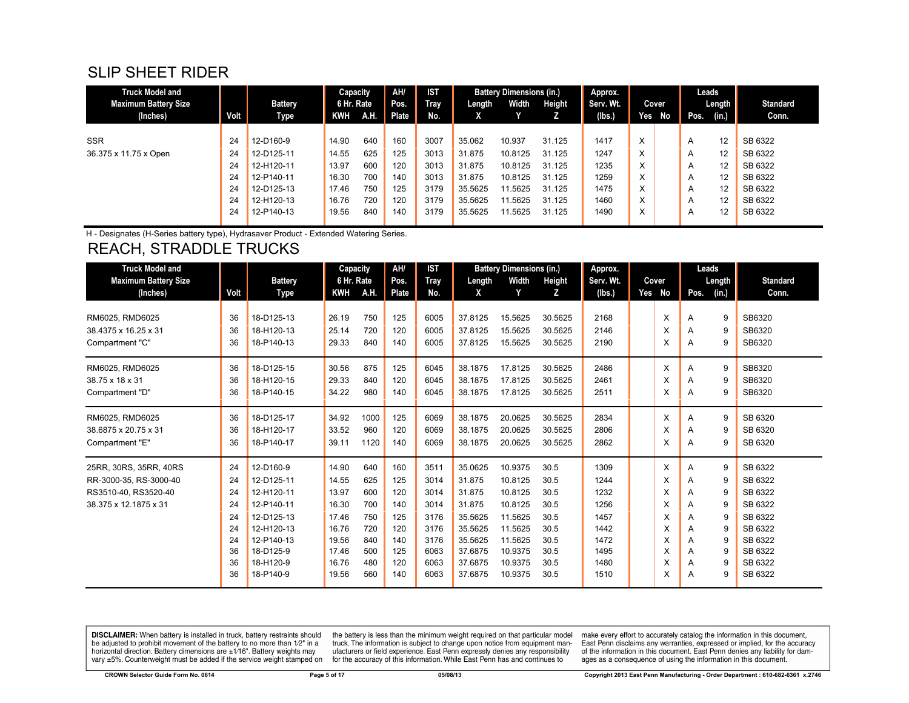#### SLIP SHEET RIDER

| Truck Model and             |      |                | Capacity   |      | AH/   | <b>IST</b> |         | <b>Battery Dimensions (in.)</b> |        | Approx.   |     |       | Leads |        |                 |
|-----------------------------|------|----------------|------------|------|-------|------------|---------|---------------------------------|--------|-----------|-----|-------|-------|--------|-----------------|
| <b>Maximum Battery Size</b> |      | <b>Battery</b> | 6 Hr. Rate |      | Pos.  | Tray       | Length  | Width                           | Height | Serv. Wt. |     | Cover |       | Length | <b>Standard</b> |
| (Inches)                    | Volt | Type           | KWH        | A.H. | Plate | No.        | X       |                                 |        | (lbs.)    | Yes | No No | Pos.  | (in.)  | Conn.           |
|                             |      |                |            |      |       |            |         |                                 |        |           |     |       |       |        |                 |
| <b>SSR</b>                  | 24   | 12-D160-9      | 14.90      | 640  | 160   | 3007       | 35.062  | 10.937                          | 31.125 | 1417      | X   |       | A     | 12     | SB 6322         |
| 36.375 x 11.75 x Open       | 24   | 12-D125-11     | 14.55      | 625  | 125   | 3013       | 31.875  | 10.8125                         | 31.125 | 1247      | X   |       | A     | 12     | SB 6322         |
|                             | 24   | 12-H120-11     | 13.97      | 600  | 120   | 3013       | 31.875  | 10.8125                         | 31.125 | 1235      | X   |       | A     | 12     | SB 6322         |
|                             | 24   | 12-P140-11     | 16.30      | 700  | 140   | 3013       | 31.875  | 10.8125                         | 31.125 | 1259      | X   |       | A     | 12     | SB 6322         |
|                             | 24   | 12-D125-13     | 17.46      | 750  | 125   | 3179       | 35.5625 | 11.5625                         | 31.125 | 1475      | X   |       | A     | 12     | SB 6322         |
|                             | 24   | 12-H120-13     | 16.76      | 720  | 120   | 3179       | 35.5625 | 11.5625                         | 31.125 | 1460      | X   |       | A     | 12     | SB 6322         |
|                             | 24   | 12-P140-13     | 19.56      | 840  | 140   | 3179       | 35.5625 | 11.5625                         | 31.125 | 1490      | X   |       | A     | 12     | SB 6322         |
|                             |      |                |            |      |       |            |         |                                 |        |           |     |       |       |        |                 |

H - Designates (H-Series battery type), Hydrasaver Product - Extended Watering Series.

#### REACH, STRADDLE TRUCKS

| <b>Truck Model and</b>      |      |                | Capacity   |      | AH/   | IST         |         | <b>Battery Dimensions (in.)</b> |         | Approx.   |     |       | Leads |        |                 |
|-----------------------------|------|----------------|------------|------|-------|-------------|---------|---------------------------------|---------|-----------|-----|-------|-------|--------|-----------------|
| <b>Maximum Battery Size</b> |      | <b>Battery</b> | 6 Hr. Rate |      | Pos.  | <b>Tray</b> | Length  | Width                           | Height  | Serv. Wt. |     | Cover |       | Length | <b>Standard</b> |
| (Inches)                    | Volt | Type           | <b>KWH</b> | A.H. | Plate | No.         | X       | Y                               | z       | (lbs.)    | Yes | No    | Pos.  | (in.)  | Conn.           |
|                             |      |                |            |      |       |             |         |                                 |         |           |     |       |       |        |                 |
| RM6025, RMD6025             | 36   | 18-D125-13     | 26.19      | 750  | 125   | 6005        | 37.8125 | 15.5625                         | 30.5625 | 2168      |     | X     | A     | 9      | SB6320          |
| 38.4375 x 16.25 x 31        | 36   | 18-H120-13     | 25.14      | 720  | 120   | 6005        | 37.8125 | 15.5625                         | 30.5625 | 2146      |     | X     | A     | 9      | SB6320          |
| Compartment "C"             | 36   | 18-P140-13     | 29.33      | 840  | 140   | 6005        | 37.8125 | 15.5625                         | 30.5625 | 2190      |     | X     | A     | 9      | SB6320          |
| RM6025, RMD6025             | 36   | 18-D125-15     | 30.56      | 875  | 125   | 6045        | 38.1875 | 17.8125                         | 30.5625 | 2486      |     | X     | A     | 9      | SB6320          |
| 38.75 x 18 x 31             | 36   | 18-H120-15     | 29.33      | 840  | 120   | 6045        | 38.1875 | 17.8125                         | 30.5625 | 2461      |     | x     | A     | 9      | SB6320          |
| Compartment "D"             | 36   | 18-P140-15     | 34.22      | 980  | 140   | 6045        | 38.1875 | 17.8125                         | 30.5625 | 2511      |     | X     | A     | 9      | SB6320          |
|                             |      |                |            |      |       |             |         |                                 |         |           |     |       |       |        |                 |
| RM6025, RMD6025             | 36   | 18-D125-17     | 34.92      | 1000 | 125   | 6069        | 38.1875 | 20.0625                         | 30.5625 | 2834      |     | X     | A     | 9      | SB 6320         |
| 38.6875 x 20.75 x 31        | 36   | 18-H120-17     | 33.52      | 960  | 120   | 6069        | 38.1875 | 20.0625                         | 30.5625 | 2806      |     | X     | A     | 9      | SB 6320         |
| Compartment "E"             | 36   | 18-P140-17     | 39.11      | 1120 | 140   | 6069        | 38.1875 | 20.0625                         | 30.5625 | 2862      |     | X     | A     | 9      | SB 6320         |
| 25RR, 30RS, 35RR, 40RS      | 24   | 12-D160-9      | 14.90      | 640  | 160   | 3511        | 35.0625 | 10.9375                         | 30.5    | 1309      |     | X     | A     | 9      | SB 6322         |
| RR-3000-35, RS-3000-40      | 24   | 12-D125-11     | 14.55      | 625  | 125   | 3014        | 31.875  | 10.8125                         | 30.5    | 1244      |     | X     | A     | 9      | SB 6322         |
| RS3510-40, RS3520-40        | 24   | 12-H120-11     | 13.97      | 600  | 120   | 3014        | 31.875  | 10.8125                         | 30.5    | 1232      |     | X     | A     | 9      | SB 6322         |
| 38.375 x 12.1875 x 31       | 24   | 12-P140-11     | 16.30      | 700  | 140   | 3014        | 31.875  | 10.8125                         | 30.5    | 1256      |     | X     | A     | 9      | SB 6322         |
|                             | 24   | 12-D125-13     | 17.46      | 750  | 125   | 3176        | 35.5625 | 11.5625                         | 30.5    | 1457      |     | X     | A     | 9      | SB 6322         |
|                             | 24   | 12-H120-13     | 16.76      | 720  | 120   | 3176        | 35.5625 | 11.5625                         | 30.5    | 1442      |     | X     | A     | 9      | SB 6322         |
|                             | 24   | 12-P140-13     | 19.56      | 840  | 140   | 3176        | 35.5625 | 11.5625                         | 30.5    | 1472      |     | X     | Α     | 9      | SB 6322         |
|                             | 36   | 18-D125-9      | 17.46      | 500  | 125   | 6063        | 37.6875 | 10.9375                         | 30.5    | 1495      |     | X     | A     | 9      | SB 6322         |
|                             | 36   | 18-H120-9      | 16.76      | 480  | 120   | 6063        | 37.6875 | 10.9375                         | 30.5    | 1480      |     | х     | A     | 9      | SB 6322         |
|                             | 36   | 18-P140-9      | 19.56      | 560  | 140   | 6063        | 37.6875 | 10.9375                         | 30.5    | 1510      |     | x     | A     | 9      | SB 6322         |

**DISCLAIMER:** When battery is installed in truck, battery restraints should be adjusted to prohibit movement of the battery to no more than 1/2" in a be added in the behavior of the behavior of the behavior of the behavior of the behavior of the behavior of the behavior of the behavior of the service weight sharped on vary  $\pm$ 5%. Counterweight must be added if the ser

the battery is less than the minimum weight required on that particular model<br>truck. The information is subject to change upon notice from equipment manufacturers or field experience. East Penn expressly denies any responsibility for the accuracy of this information. While East Penn has and continues to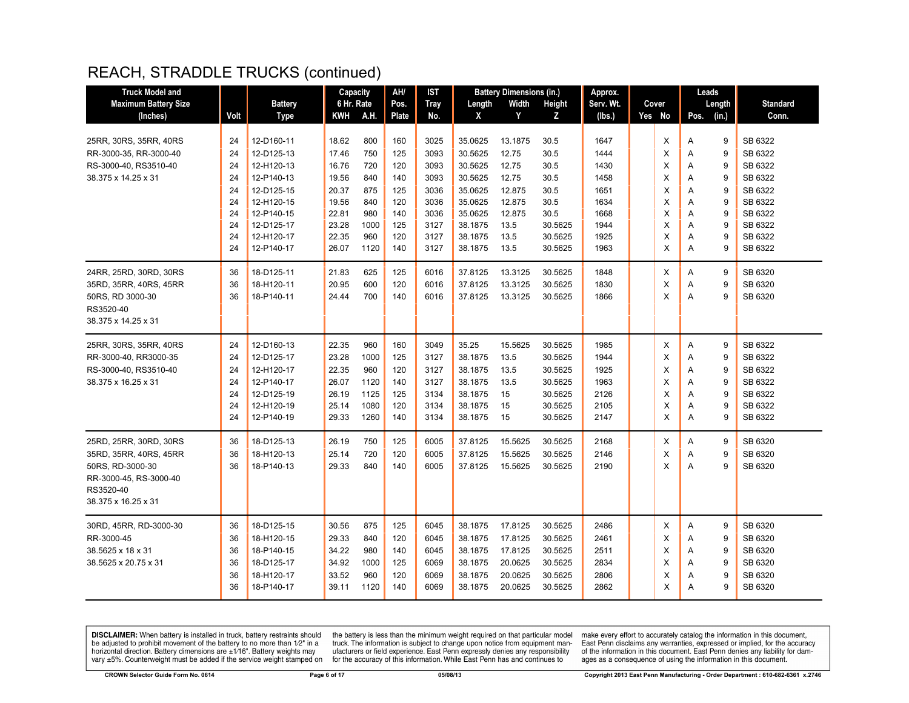| <b>Truck Model and</b>                                                                                                             |                                        |                                                                                                | Capacity                                                    |                                                    | AH/                                           | IST                                                  |                                                                           | <b>Battery Dimensions (in.)</b>                                |                                                                           | Approx.                                              |                                 | Leads                                                              |                                                                           |
|------------------------------------------------------------------------------------------------------------------------------------|----------------------------------------|------------------------------------------------------------------------------------------------|-------------------------------------------------------------|----------------------------------------------------|-----------------------------------------------|------------------------------------------------------|---------------------------------------------------------------------------|----------------------------------------------------------------|---------------------------------------------------------------------------|------------------------------------------------------|---------------------------------|--------------------------------------------------------------------|---------------------------------------------------------------------------|
| <b>Maximum Battery Size</b>                                                                                                        |                                        | <b>Battery</b>                                                                                 | 6 Hr. Rate                                                  |                                                    | Pos.                                          | <b>Tray</b>                                          | Length                                                                    | Width                                                          | Height                                                                    | Serv. Wt.                                            | Cover                           | Length                                                             | <b>Standard</b>                                                           |
| (Inches)                                                                                                                           | Volt                                   | <b>Type</b>                                                                                    | KWH                                                         | A.H.                                               | Plate                                         | No.                                                  | X                                                                         | Y                                                              | z                                                                         | (lbs.)                                               | Yes No                          | (in.)<br>Pos.                                                      | Conn.                                                                     |
| 25RR, 30RS, 35RR, 40RS<br>RR-3000-35, RR-3000-40                                                                                   | 24<br>24                               | 12-D160-11<br>12-D125-13                                                                       | 18.62<br>17.46                                              | 800<br>750                                         | 160<br>125                                    | 3025<br>3093                                         | 35.0625<br>30.5625                                                        | 13.1875<br>12.75                                               | 30.5<br>30.5                                                              | 1647<br>1444                                         | X<br>X                          | 9<br>Α<br>9<br>Α                                                   | SB 6322<br>SB 6322                                                        |
| RS-3000-40, RS3510-40<br>38.375 x 14.25 x 31                                                                                       | 24<br>24<br>24<br>24<br>24<br>24<br>24 | 12-H120-13<br>12-P140-13<br>12-D125-15<br>12-H120-15<br>12-P140-15<br>12-D125-17<br>12-H120-17 | 16.76<br>19.56<br>20.37<br>19.56<br>22.81<br>23.28<br>22.35 | 720<br>840<br>875<br>840<br>980<br>1000<br>960     | 120<br>140<br>125<br>120<br>140<br>125<br>120 | 3093<br>3093<br>3036<br>3036<br>3036<br>3127<br>3127 | 30.5625<br>30.5625<br>35.0625<br>35.0625<br>35.0625<br>38.1875<br>38.1875 | 12.75<br>12.75<br>12.875<br>12.875<br>12.875<br>13.5<br>13.5   | 30.5<br>30.5<br>30.5<br>30.5<br>30.5<br>30.5625<br>30.5625                | 1430<br>1458<br>1651<br>1634<br>1668<br>1944<br>1925 | X<br>X<br>X<br>X<br>X<br>X<br>X | 9<br>Α<br>9<br>A<br>9<br>A<br>9<br>A<br>9<br>Α<br>A<br>9<br>A<br>9 | SB 6322<br>SB 6322<br>SB 6322<br>SB 6322<br>SB 6322<br>SB 6322<br>SB 6322 |
| 24RR, 25RD, 30RD, 30RS<br>35RD, 35RR, 40RS, 45RR<br>50RS, RD 3000-30<br>RS3520-40<br>38.375 x 14.25 x 31                           | 24<br>36<br>36<br>36                   | 12-P140-17<br>18-D125-11<br>18-H120-11<br>18-P140-11                                           | 26.07<br>21.83<br>20.95<br>24.44                            | 1120<br>625<br>600<br>700                          | 140<br>125<br>120<br>140                      | 3127<br>6016<br>6016<br>6016                         | 38.1875<br>37.8125<br>37.8125<br>37.8125                                  | 13.5<br>13.3125<br>13.3125<br>13.3125                          | 30.5625<br>30.5625<br>30.5625<br>30.5625                                  | 1963<br>1848<br>1830<br>1866                         | X<br>X<br>X<br>X                | A<br>9<br>9<br>Α<br>9<br>Α<br>9<br>A                               | SB 6322<br>SB 6320<br>SB 6320<br>SB 6320                                  |
| 25RR, 30RS, 35RR, 40RS<br>RR-3000-40, RR3000-35<br>RS-3000-40, RS3510-40<br>38.375 x 16.25 x 31                                    | 24<br>24<br>24<br>24<br>24<br>24<br>24 | 12-D160-13<br>12-D125-17<br>12-H120-17<br>12-P140-17<br>12-D125-19<br>12-H120-19<br>12-P140-19 | 22.35<br>23.28<br>22.35<br>26.07<br>26.19<br>25.14<br>29.33 | 960<br>1000<br>960<br>1120<br>1125<br>1080<br>1260 | 160<br>125<br>120<br>140<br>125<br>120<br>140 | 3049<br>3127<br>3127<br>3127<br>3134<br>3134<br>3134 | 35.25<br>38.1875<br>38.1875<br>38.1875<br>38.1875<br>38.1875<br>38.1875   | 15.5625<br>13.5<br>13.5<br>13.5<br>15<br>15<br>15              | 30.5625<br>30.5625<br>30.5625<br>30.5625<br>30.5625<br>30.5625<br>30.5625 | 1985<br>1944<br>1925<br>1963<br>2126<br>2105<br>2147 | Х<br>X<br>X<br>X<br>X<br>X<br>X | 9<br>Α<br>9<br>Α<br>Α<br>9<br>9<br>A<br>9<br>A<br>9<br>Α<br>A<br>9 | SB 6322<br>SB 6322<br>SB 6322<br>SB 6322<br>SB 6322<br>SB 6322<br>SB 6322 |
| 25RD, 25RR, 30RD, 30RS<br>35RD, 35RR, 40RS, 45RR<br>50RS. RD-3000-30<br>RR-3000-45, RS-3000-40<br>RS3520-40<br>38.375 x 16.25 x 31 | 36<br>36<br>36                         | 18-D125-13<br>18-H120-13<br>18-P140-13                                                         | 26.19<br>25.14<br>29.33                                     | 750<br>720<br>840                                  | 125<br>120<br>140                             | 6005<br>6005<br>6005                                 | 37.8125<br>37.8125<br>37.8125                                             | 15.5625<br>15.5625<br>15.5625                                  | 30.5625<br>30.5625<br>30.5625                                             | 2168<br>2146<br>2190                                 | X<br>X<br>X                     | 9<br>Α<br>9<br>A<br>A<br>$\mathbf{q}$                              | SB 6320<br>SB 6320<br>SB 6320                                             |
| 30RD, 45RR, RD-3000-30<br>RR-3000-45<br>38.5625 x 18 x 31<br>38.5625 x 20.75 x 31                                                  | 36<br>36<br>36<br>36<br>36<br>36       | 18-D125-15<br>18-H120-15<br>18-P140-15<br>18-D125-17<br>18-H120-17<br>18-P140-17               | 30.56<br>29.33<br>34.22<br>34.92<br>33.52<br>39.11          | 875<br>840<br>980<br>1000<br>960<br>1120           | 125<br>120<br>140<br>125<br>120<br>140        | 6045<br>6045<br>6045<br>6069<br>6069<br>6069         | 38.1875<br>38.1875<br>38.1875<br>38.1875<br>38.1875<br>38.1875            | 17.8125<br>17.8125<br>17.8125<br>20.0625<br>20.0625<br>20.0625 | 30.5625<br>30.5625<br>30.5625<br>30.5625<br>30.5625<br>30.5625            | 2486<br>2461<br>2511<br>2834<br>2806<br>2862         | X<br>X<br>X<br>X<br>X<br>X      | 9<br>A<br>9<br>Α<br>9<br>A<br>9<br>A<br>9<br>A<br>A<br>9           | SB 6320<br>SB 6320<br>SB 6320<br>SB 6320<br>SB 6320<br>SB 6320            |

**DISCLAIMER:** When battery is installed in truck, battery restraints should be adjusted to prohibit movement of the battery to no more than  $1/2$ " in a horizontal direction. Battery dimensions are  $\pm 1/16$ ". Battery weig

the battery is less than the minimum weight required on that particular model<br>truck. The information is subject to change upon notice from equipment man-<br>ufacturers or field experience. East Penn expressly denies any respo for the accuracy of this information. While East Penn has and continues to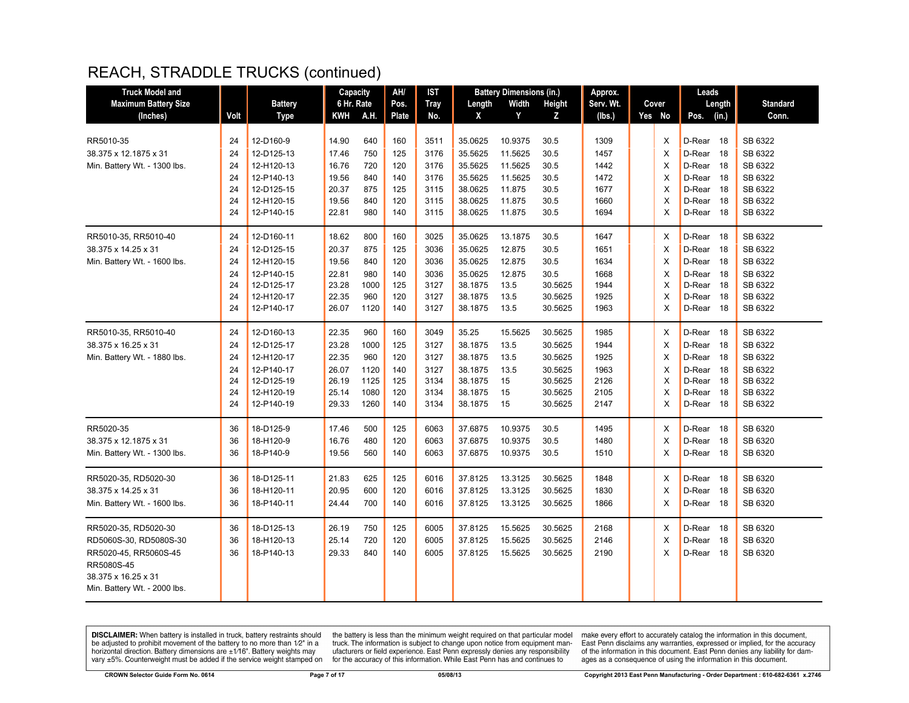| <b>Truck Model and</b>       |      |                | Capacity   |      | AH/          | IST         |         | <b>Battery Dimensions (in.)</b> |         | Approx.   |          | Leads          |                 |
|------------------------------|------|----------------|------------|------|--------------|-------------|---------|---------------------------------|---------|-----------|----------|----------------|-----------------|
| <b>Maximum Battery Size</b>  |      | <b>Battery</b> | 6 Hr. Rate |      | Pos.         | <b>Tray</b> | Length  | Width                           | Height  | Serv. Wt. | Cover    | Length         | <b>Standard</b> |
| (Inches)                     | Volt | <b>Type</b>    | KWH        | A.H. | <b>Plate</b> | No.         | X       | Y                               | Z       | (lbs.)    | Yes No   | (in.)<br>Pos.  | Conn.           |
|                              |      |                |            |      |              |             |         |                                 |         |           |          |                |                 |
| RR5010-35                    | 24   | 12-D160-9      | 14.90      | 640  | 160          | 3511        | 35.0625 | 10.9375                         | 30.5    | 1309      | X        | D-Rear<br>- 18 | SB 6322         |
| 38.375 x 12.1875 x 31        | 24   | 12-D125-13     | 17.46      | 750  | 125          | 3176        | 35.5625 | 11.5625                         | 30.5    | 1457      | X        | D-Rear<br>18   | SB 6322         |
| Min. Battery Wt. - 1300 lbs. | 24   | 12-H120-13     | 16.76      | 720  | 120          | 3176        | 35.5625 | 11.5625                         | 30.5    | 1442      | X        | D-Rear<br>18   | SB 6322         |
|                              | 24   | 12-P140-13     | 19.56      | 840  | 140          | 3176        | 35.5625 | 11.5625                         | 30.5    | 1472      | X        | D-Rear<br>- 18 | SB 6322         |
|                              | 24   | 12-D125-15     | 20.37      | 875  | 125          | 3115        | 38.0625 | 11.875                          | 30.5    | 1677      | X        | D-Rear<br>-18  | SB 6322         |
|                              | 24   | 12-H120-15     | 19.56      | 840  | 120          | 3115        | 38.0625 | 11.875                          | 30.5    | 1660      | X        | D-Rear<br>18   | SB 6322         |
|                              | 24   | 12-P140-15     | 22.81      | 980  | 140          | 3115        | 38.0625 | 11.875                          | 30.5    | 1694      | X        | D-Rear 18      | SB 6322         |
| RR5010-35, RR5010-40         | 24   | 12-D160-11     | 18.62      | 800  | 160          | 3025        | 35.0625 | 13.1875                         | 30.5    | 1647      | X        | D-Rear<br>-18  | SB 6322         |
| 38.375 x 14.25 x 31          | 24   | 12-D125-15     | 20.37      | 875  | 125          | 3036        | 35.0625 | 12.875                          | 30.5    | 1651      | X        | D-Rear<br>18   | SB 6322         |
| Min. Battery Wt. - 1600 lbs. | 24   | 12-H120-15     | 19.56      | 840  | 120          | 3036        | 35.0625 | 12.875                          | 30.5    | 1634      | $\times$ | D-Rear<br>-18  | SB 6322         |
|                              | 24   | 12-P140-15     | 22.81      | 980  | 140          | 3036        | 35.0625 | 12.875                          | 30.5    | 1668      | X        | D-Rear<br>- 18 | SB 6322         |
|                              | 24   | 12-D125-17     | 23.28      | 1000 | 125          | 3127        | 38.1875 | 13.5                            | 30.5625 | 1944      | X        | D-Rear<br>- 18 | SB 6322         |
|                              | 24   | 12-H120-17     | 22.35      | 960  | 120          | 3127        | 38.1875 | 13.5                            | 30.5625 | 1925      | X        | D-Rear<br>- 18 | SB 6322         |
|                              | 24   | 12-P140-17     | 26.07      | 1120 | 140          | 3127        | 38.1875 | 13.5                            | 30.5625 | 1963      | X        | D-Rear 18      | SB 6322         |
| RR5010-35, RR5010-40         | 24   | 12-D160-13     | 22.35      | 960  | 160          | 3049        | 35.25   | 15.5625                         | 30.5625 | 1985      | Х        | D-Rear 18      | SB 6322         |
| 38.375 x 16.25 x 31          | 24   | 12-D125-17     | 23.28      | 1000 | 125          | 3127        | 38.1875 | 13.5                            | 30.5625 | 1944      | $\times$ | D-Rear<br>- 18 | SB 6322         |
| Min. Battery Wt. - 1880 lbs. | 24   | 12-H120-17     | 22.35      | 960  | 120          | 3127        | 38.1875 | 13.5                            | 30.5625 | 1925      | X        | D-Rear<br>18   | SB 6322         |
|                              | 24   | 12-P140-17     | 26.07      | 1120 | 140          | 3127        | 38.1875 | 13.5                            | 30.5625 | 1963      | X        | D-Rear 18      | SB 6322         |
|                              | 24   | 12-D125-19     | 26.19      | 1125 | 125          | 3134        | 38.1875 | 15                              | 30.5625 | 2126      | X        | D-Rear<br>-18  | SB 6322         |
|                              | 24   | 12-H120-19     | 25.14      | 1080 | 120          | 3134        | 38.1875 | 15                              | 30.5625 | 2105      | X        | D-Rear<br>18   | SB 6322         |
|                              | 24   | 12-P140-19     | 29.33      | 1260 | 140          | 3134        | 38.1875 | 15                              | 30.5625 | 2147      | X        | D-Rear 18      | SB 6322         |
| RR5020-35                    | 36   | 18-D125-9      | 17.46      | 500  | 125          | 6063        | 37.6875 | 10.9375                         | 30.5    | 1495      | X        | D-Rear 18      | SB 6320         |
| 38.375 x 12.1875 x 31        | 36   | 18-H120-9      | 16.76      | 480  | 120          | 6063        | 37.6875 | 10.9375                         | 30.5    | 1480      | X        | D-Rear<br>18   | SB 6320         |
| Min. Battery Wt. - 1300 lbs. | 36   | 18-P140-9      | 19.56      | 560  | 140          | 6063        | 37.6875 | 10.9375                         | 30.5    | 1510      | X        | D-Rear 18      | SB 6320         |
| RR5020-35, RD5020-30         | 36   | 18-D125-11     | 21.83      | 625  | 125          | 6016        | 37.8125 | 13.3125                         | 30.5625 | 1848      | Х        | D-Rear 18      | SB 6320         |
| 38.375 x 14.25 x 31          | 36   | 18-H120-11     | 20.95      | 600  | 120          | 6016        | 37.8125 | 13.3125                         | 30.5625 | 1830      | X        | D-Rear<br>-18  | SB 6320         |
| Min. Battery Wt. - 1600 lbs. | 36   | 18-P140-11     | 24.44      | 700  | 140          | 6016        | 37.8125 | 13.3125                         | 30.5625 | 1866      | X        | D-Rear<br>- 18 | SB 6320         |
|                              |      |                |            |      |              |             |         |                                 |         |           |          |                |                 |
| RR5020-35, RD5020-30         | 36   | 18-D125-13     | 26.19      | 750  | 125          | 6005        | 37.8125 | 15.5625                         | 30.5625 | 2168      | X        | D-Rear<br>-18  | SB 6320         |
| RD5060S-30, RD5080S-30       | 36   | 18-H120-13     | 25.14      | 720  | 120          | 6005        | 37.8125 | 15.5625                         | 30.5625 | 2146      | X        | D-Rear<br>-18  | SB 6320         |
| RR5020-45, RR5060S-45        | 36   | 18-P140-13     | 29.33      | 840  | 140          | 6005        | 37.8125 | 15.5625                         | 30.5625 | 2190      | X        | D-Rear<br>-18  | SB 6320         |
| RR5080S-45                   |      |                |            |      |              |             |         |                                 |         |           |          |                |                 |
| 38.375 x 16.25 x 31          |      |                |            |      |              |             |         |                                 |         |           |          |                |                 |
| Min. Battery Wt. - 2000 lbs. |      |                |            |      |              |             |         |                                 |         |           |          |                |                 |
|                              |      |                |            |      |              |             |         |                                 |         |           |          |                |                 |

**DISCLAIMER:** When battery is installed in truck, battery restraints should be adjusted to prohibit movement of the battery to no more than  $12^v$  in a horizontal direction. Battery dimensions are  $\pm 1/16^v$ . Battery wei

the battery is less than the minimum weight required on that particular model<br>truck. The information is subject to change upon notice from equipment man-<br>ufacturers or field experience. East Penn expressly denies any respo for the accuracy of this information. While East Penn has and continues to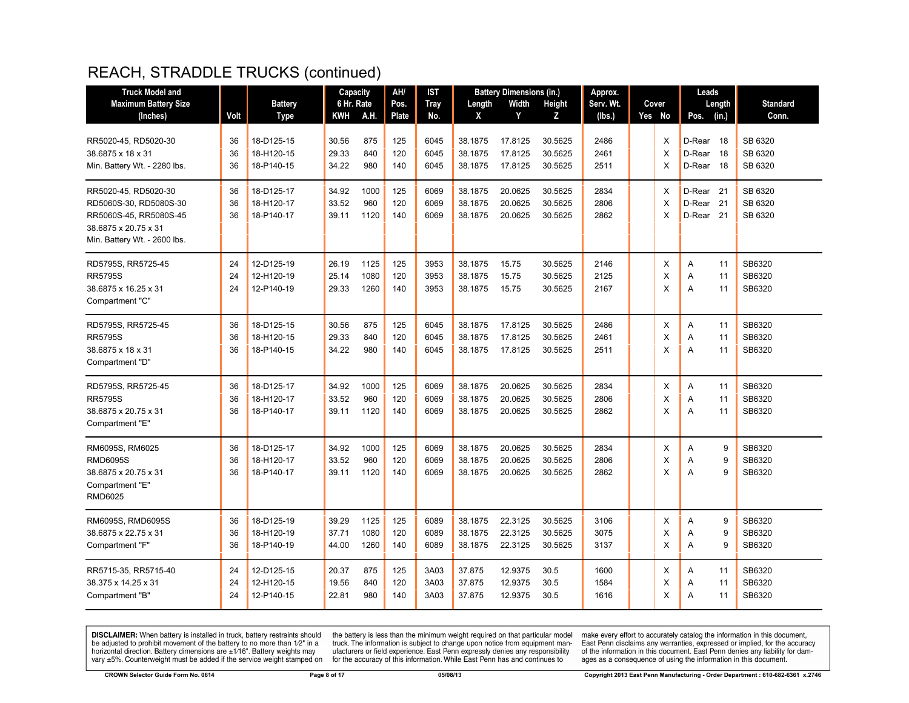| <b>Truck Model and</b>       |      |                | Capacity   |      | AH/   | <b>IST</b>  |         | <b>Battery Dimensions (in.)</b> |         | Approx.   |          | Leads                |        |                 |
|------------------------------|------|----------------|------------|------|-------|-------------|---------|---------------------------------|---------|-----------|----------|----------------------|--------|-----------------|
| <b>Maximum Battery Size</b>  |      | <b>Battery</b> | 6 Hr. Rate |      | Pos.  | <b>Tray</b> | Length  | Width                           | Height  | Serv. Wt. | Cover    |                      | Length | <b>Standard</b> |
| (Inches)                     | Volt | Type           | KWH        | A.H. | Plate | No.         | X       | Y                               | z       | (lbs.)    | Yes No   | Pos.                 | (in.)  | Conn.           |
| RR5020-45, RD5020-30         | 36   | 18-D125-15     | 30.56      | 875  | 125   | 6045        | 38.1875 | 17.8125                         | 30.5625 | 2486      | X        | D-Rear 18            |        | SB 6320         |
| 38.6875 x 18 x 31            | 36   | 18-H120-15     | 29.33      | 840  | 120   | 6045        | 38.1875 | 17.8125                         | 30.5625 | 2461      | $\times$ | D-Rear               | 18     | SB 6320         |
| Min. Battery Wt. - 2280 lbs. | 36   | 18-P140-15     | 34.22      | 980  | 140   | 6045        | 38.1875 | 17.8125                         | 30.5625 | 2511      | $\times$ | D-Rear 18            |        | SB 6320         |
| RR5020-45, RD5020-30         | 36   | 18-D125-17     | 34.92      | 1000 | 125   | 6069        | 38.1875 | 20.0625                         | 30.5625 | 2834      | X        | D-Rear <sub>21</sub> |        | SB 6320         |
| RD5060S-30, RD5080S-30       | 36   | 18-H120-17     | 33.52      | 960  | 120   | 6069        | 38.1875 | 20.0625                         | 30.5625 | 2806      | X        | D-Rear 21            |        | SB 6320         |
| RR5060S-45, RR5080S-45       | 36   | 18-P140-17     | 39.11      | 1120 | 140   | 6069        | 38.1875 | 20.0625                         | 30.5625 | 2862      | X        | D-Rear <sub>21</sub> |        | SB 6320         |
| 38.6875 x 20.75 x 31         |      |                |            |      |       |             |         |                                 |         |           |          |                      |        |                 |
| Min. Battery Wt. - 2600 lbs. |      |                |            |      |       |             |         |                                 |         |           |          |                      |        |                 |
| RD5795S, RR5725-45           | 24   | 12-D125-19     | 26.19      | 1125 | 125   | 3953        | 38.1875 | 15.75                           | 30.5625 | 2146      | Χ        | Α                    | 11     | SB6320          |
| <b>RR5795S</b>               | 24   | 12-H120-19     | 25.14      | 1080 | 120   | 3953        | 38.1875 | 15.75                           | 30.5625 | 2125      | $\times$ | A                    | 11     | SB6320          |
| 38.6875 x 16.25 x 31         | 24   | 12-P140-19     | 29.33      | 1260 | 140   | 3953        | 38.1875 | 15.75                           | 30.5625 | 2167      | $\times$ | A                    | 11     | SB6320          |
| Compartment "C"              |      |                |            |      |       |             |         |                                 |         |           |          |                      |        |                 |
| RD5795S, RR5725-45           | 36   | 18-D125-15     | 30.56      | 875  | 125   | 6045        | 38.1875 | 17.8125                         | 30.5625 | 2486      | Х        | Α                    | 11     | SB6320          |
| <b>RR5795S</b>               | 36   | 18-H120-15     | 29.33      | 840  | 120   | 6045        | 38.1875 | 17.8125                         | 30.5625 | 2461      | $\times$ | A                    | 11     | SB6320          |
| 38.6875 x 18 x 31            | 36   | 18-P140-15     | 34.22      | 980  | 140   | 6045        | 38.1875 | 17.8125                         | 30.5625 | 2511      | X        | A                    | 11     | SB6320          |
| Compartment "D"              |      |                |            |      |       |             |         |                                 |         |           |          |                      |        |                 |
|                              |      |                |            |      |       |             |         |                                 |         |           |          |                      |        |                 |
| RD5795S, RR5725-45           | 36   | 18-D125-17     | 34.92      | 1000 | 125   | 6069        | 38.1875 | 20.0625                         | 30.5625 | 2834      | X        | A                    | 11     | SB6320          |
| <b>RR5795S</b>               | 36   | 18-H120-17     | 33.52      | 960  | 120   | 6069        | 38.1875 | 20.0625                         | 30.5625 | 2806      | X        | A                    | 11     | SB6320          |
| 38.6875 x 20.75 x 31         | 36   | 18-P140-17     | 39.11      | 1120 | 140   | 6069        | 38.1875 | 20.0625                         | 30.5625 | 2862      | $\times$ | A                    | 11     | SB6320          |
| Compartment "E'              |      |                |            |      |       |             |         |                                 |         |           |          |                      |        |                 |
| RM6095S, RM6025              | 36   | 18-D125-17     | 34.92      | 1000 | 125   | 6069        | 38.1875 | 20.0625                         | 30.5625 | 2834      | X        | A                    | 9      | SB6320          |
| <b>RMD6095S</b>              | 36   | 18-H120-17     | 33.52      | 960  | 120   | 6069        | 38.1875 | 20.0625                         | 30.5625 | 2806      | $\times$ | A                    | 9      | SB6320          |
| 38.6875 x 20.75 x 31         | 36   | 18-P140-17     | 39.11      | 1120 | 140   | 6069        | 38.1875 | 20.0625                         | 30.5625 | 2862      | X        | A                    | 9      | SB6320          |
| Compartment "E"              |      |                |            |      |       |             |         |                                 |         |           |          |                      |        |                 |
| RMD6025                      |      |                |            |      |       |             |         |                                 |         |           |          |                      |        |                 |
| RM6095S, RMD6095S            | 36   | 18-D125-19     | 39.29      | 1125 | 125   | 6089        | 38.1875 | 22.3125                         | 30.5625 | 3106      | X        | A                    | 9      | SB6320          |
| 38.6875 x 22.75 x 31         | 36   | 18-H120-19     | 37.71      | 1080 | 120   | 6089        | 38.1875 | 22.3125                         | 30.5625 | 3075      | X        | Α                    | 9      | SB6320          |
| Compartment "F"              | 36   | 18-P140-19     | 44.00      | 1260 | 140   | 6089        | 38.1875 | 22.3125                         | 30.5625 | 3137      | $\times$ | A                    | 9      | SB6320          |
|                              |      |                |            |      |       |             |         |                                 |         |           |          |                      |        |                 |
| RR5715-35, RR5715-40         | 24   | 12-D125-15     | 20.37      | 875  | 125   | 3A03        | 37.875  | 12.9375                         | 30.5    | 1600      | X        | A                    | 11     | SB6320          |
| 38.375 x 14.25 x 31          | 24   | 12-H120-15     | 19.56      | 840  | 120   | 3A03        | 37.875  | 12.9375                         | 30.5    | 1584      | X        | A                    | 11     | SB6320          |
| Compartment "B"              | 24   | 12-P140-15     | 22.81      | 980  | 140   | 3A03        | 37.875  | 12.9375                         | 30.5    | 1616      | X        | A                    | 11     | SB6320          |
|                              |      |                |            |      |       |             |         |                                 |         |           |          |                      |        |                 |

**DISCLAIMER:** When battery is installed in truck, battery restraints should be adjusted to prohibit movement of the battery to no more than  $1/2$ " in a horizontal direction. Battery dimensions are  $\pm 1/16$ ". Battery weig

the battery is less than the minimum weight required on that particular model<br>truck. The information is subject to change upon notice from equipment man-<br>ufacturers or field experience. East Penn expressly denies any respo for the accuracy of this information. While East Penn has and continues to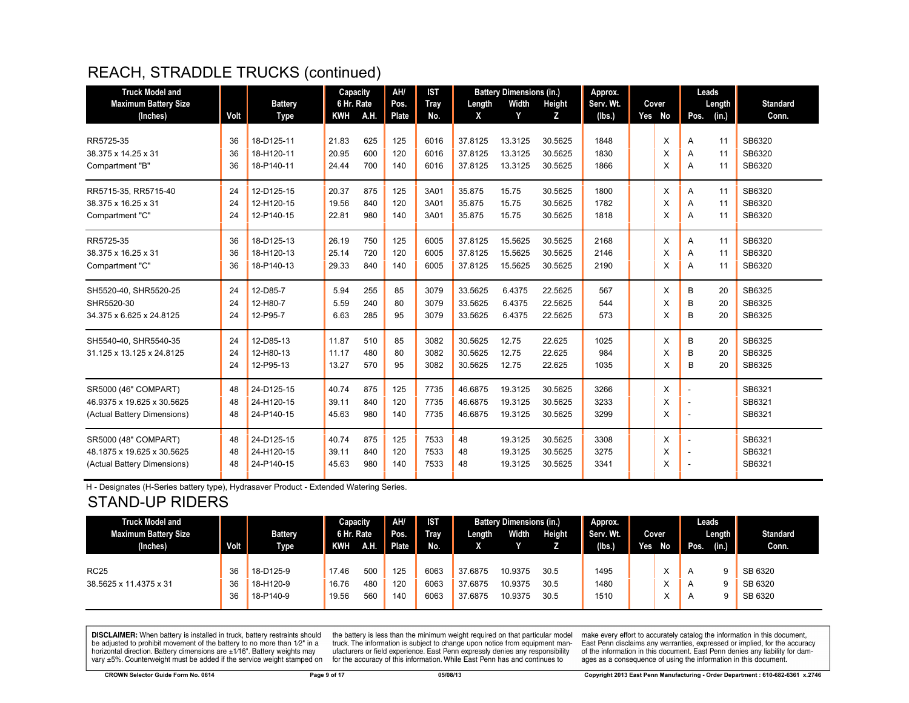| <b>Truck Model and</b>                  |      |                               | Capacity                 |      | AH/           | <b>IST</b>         |             | <b>Battery Dimensions (in.)</b> |             | Approx.             |                 | Leads          |                          |
|-----------------------------------------|------|-------------------------------|--------------------------|------|---------------|--------------------|-------------|---------------------------------|-------------|---------------------|-----------------|----------------|--------------------------|
| <b>Maximum Battery Size</b><br>(Inches) | Volt | <b>Battery</b><br><b>Type</b> | 6 Hr. Rate<br><b>KWH</b> | A.H. | Pos.<br>Plate | <b>Tray</b><br>No. | Length<br>X | Width<br>Y                      | Height<br>z | Serv. Wt.<br>(Ibs.) | Cover<br>Yes No | Length<br>Pos. | <b>Standard</b><br>Conn. |
|                                         |      |                               |                          |      |               |                    |             |                                 |             |                     |                 | (in.)          |                          |
| RR5725-35                               | 36   | 18-D125-11                    | 21.83                    | 625  | 125           | 6016               | 37.8125     | 13.3125                         | 30.5625     | 1848                | X               | 11<br>A        | SB6320                   |
| 38.375 x 14.25 x 31                     | 36   | 18-H120-11                    | 20.95                    | 600  | 120           | 6016               | 37.8125     | 13.3125                         | 30.5625     | 1830                | X               | 11<br>A        | SB6320                   |
| Compartment "B"                         | 36   | 18-P140-11                    | 24.44                    | 700  | 140           | 6016               | 37.8125     | 13.3125                         | 30.5625     | 1866                | X               | 11<br>A        | SB6320                   |
| RR5715-35, RR5715-40                    | 24   | 12-D125-15                    | 20.37                    | 875  | 125           | 3A01               | 35.875      | 15.75                           | 30.5625     | 1800                | X               | 11<br>A        | SB6320                   |
| 38.375 x 16.25 x 31                     | 24   | 12-H120-15                    | 19.56                    | 840  | 120           | 3A01               | 35.875      | 15.75                           | 30.5625     | 1782                | X               | 11<br>A        | SB6320                   |
| Compartment "C"                         | 24   | 12-P140-15                    | 22.81                    | 980  | 140           | 3A01               | 35.875      | 15.75                           | 30.5625     | 1818                | X               | 11<br>A        | SB6320                   |
| RR5725-35                               | 36   | 18-D125-13                    | 26.19                    | 750  | 125           | 6005               | 37.8125     | 15.5625                         | 30.5625     | 2168                | X               | 11<br>A        | SB6320                   |
| 38.375 x 16.25 x 31                     | 36   | 18-H120-13                    | 25.14                    | 720  | 120           | 6005               | 37.8125     | 15.5625                         | 30.5625     | 2146                | X               | 11<br>A        | SB6320                   |
| Compartment "C"                         | 36   | 18-P140-13                    | 29.33                    | 840  | 140           | 6005               | 37.8125     | 15.5625                         | 30.5625     | 2190                | X               | 11<br>A        | SB6320                   |
| SH5520-40, SHR5520-25                   | 24   | 12-D85-7                      | 5.94                     | 255  | 85            | 3079               | 33.5625     | 6.4375                          | 22.5625     | 567                 | X               | В<br>20        | SB6325                   |
| SHR5520-30                              | 24   | 12-H80-7                      | 5.59                     | 240  | 80            | 3079               | 33.5625     | 6.4375                          | 22.5625     | 544                 | X               | B<br>20        | SB6325                   |
| 34.375 x 6.625 x 24.8125                | 24   | 12-P95-7                      | 6.63                     | 285  | 95            | 3079               | 33.5625     | 6.4375                          | 22.5625     | 573                 | X               | B<br>20        | SB6325                   |
| SH5540-40. SHR5540-35                   | 24   | 12-D85-13                     | 11.87                    | 510  | 85            | 3082               | 30.5625     | 12.75                           | 22.625      | 1025                | X               | B<br>20        | SB6325                   |
| 31.125 x 13.125 x 24.8125               | 24   | 12-H80-13                     | 11.17                    | 480  | 80            | 3082               | 30.5625     | 12.75                           | 22.625      | 984                 | X               | B<br>20        | SB6325                   |
|                                         | 24   | 12-P95-13                     | 13.27                    | 570  | 95            | 3082               | 30.5625     | 12.75                           | 22.625      | 1035                | X               | В<br>20        | SB6325                   |
| SR5000 (46" COMPART)                    | 48   | 24-D125-15                    | 40.74                    | 875  | 125           | 7735               | 46.6875     | 19.3125                         | 30.5625     | 3266                | X               |                | SB6321                   |
| 46.9375 x 19.625 x 30.5625              | 48   | 24-H120-15                    | 39.11                    | 840  | 120           | 7735               | 46.6875     | 19.3125                         | 30.5625     | 3233                | X               |                | SB6321                   |
| (Actual Battery Dimensions)             | 48   | 24-P140-15                    | 45.63                    | 980  | 140           | 7735               | 46.6875     | 19.3125                         | 30.5625     | 3299                | X               |                | SB6321                   |
| SR5000 (48" COMPART)                    | 48   | 24-D125-15                    | 40.74                    | 875  | 125           | 7533               | 48          | 19.3125                         | 30.5625     | 3308                | X               |                | SB6321                   |
| 48.1875 x 19.625 x 30.5625              | 48   | 24-H120-15                    | 39.11                    | 840  | 120           | 7533               | 48          | 19.3125                         | 30.5625     | 3275                | X               |                | SB6321                   |
| (Actual Battery Dimensions)             | 48   | 24-P140-15                    | 45.63                    | 980  | 140           | 7533               | 48          | 19.3125                         | 30.5625     | 3341                | X               |                | SB6321                   |

H - Designates (H-Series battery type), Hydrasaver Product - Extended Watering Series.

### STAND-UP RIDERS

| <b>Truck Model and</b><br><b>Maximum Battery Size</b><br>(Inches) | Volt           | <b>Battery</b><br><b>Type</b>       | Capacity<br>6 Hr. Rate<br><b>KWH</b> | A.H.              | AH/<br>Pos.<br>Plate | <b>IST</b><br><b>Tray</b><br>No. | Length                        | <b>Battery Dimensions (in.)</b><br><b>Width</b> | Height               | <b>Approx.</b><br>Serv. Wt.<br>(lbs) | Yes | Cover<br>No | Pos.                                               | Leads<br>Length<br>(in.) | <b>Standard</b><br>Conn.      |
|-------------------------------------------------------------------|----------------|-------------------------------------|--------------------------------------|-------------------|----------------------|----------------------------------|-------------------------------|-------------------------------------------------|----------------------|--------------------------------------|-----|-------------|----------------------------------------------------|--------------------------|-------------------------------|
| <b>RC25</b><br>38.5625 x 11.4375 x 31                             | 36<br>36<br>36 | 18-D125-9<br>18-H120-9<br>18-P140-9 | 17.46<br>16.76<br>19.56              | 500<br>480<br>560 | 125<br>120<br>140    | 6063<br>6063<br>6063             | 37.6875<br>37.6875<br>37.6875 | 10.9375<br>10.9375<br>10.9375                   | 30.5<br>30.5<br>30.5 | 1495<br>1480<br>1510                 |     |             | $\overline{A}$<br>$\overline{A}$<br>$\overline{A}$ | Q                        | SB 6320<br>SB 6320<br>SB 6320 |

**DISCLAIMER:** When battery is installed in truck, battery restraints should be adjusted to prohibit movement of the battery to no more than 1/2" in a be added in the behavior of the behavior of the behavior of the behavior of the behavior of the behavior of the behavior of the behavior of the service weight sharped on vary  $\pm$ 5%. Counterweight must be added if the ser

the battery is less than the minimum weight required on that particular model<br>truck. The information is subject to change upon notice from equipment manufacturers or field experience. East Penn expressly denies any responsibility for the accuracy of this information. While East Penn has and continues to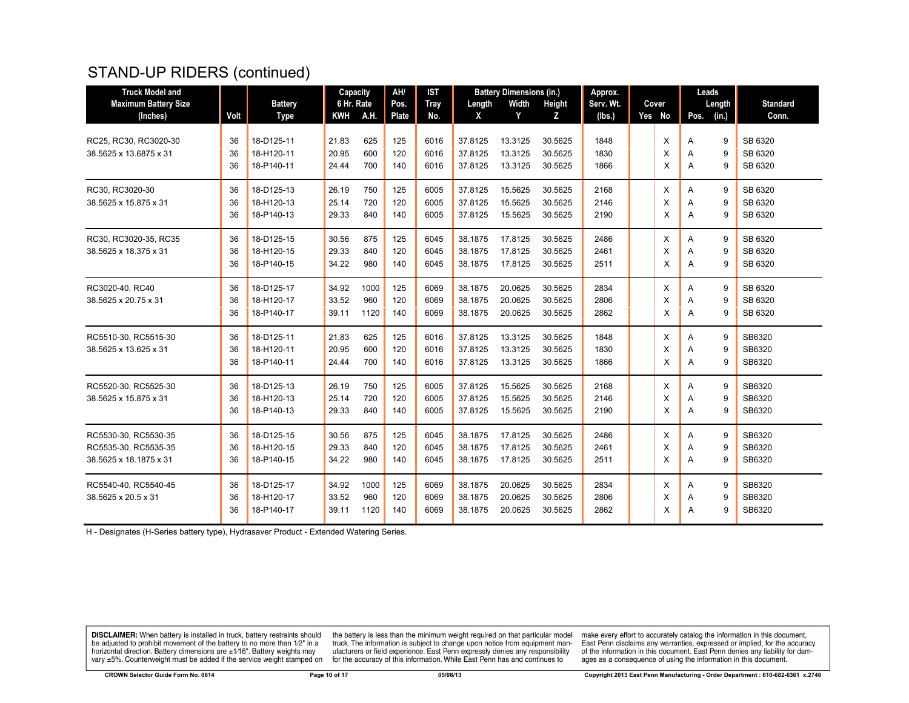## STAND-UP RIDERS (continued)

| <b>Truck Model and</b>      |      |                | Capacity   |      | AH/          | <b>IST</b> |         | <b>Battery Dimensions (in.)</b> |         | Approx.   |        |      | Leads  |                 |
|-----------------------------|------|----------------|------------|------|--------------|------------|---------|---------------------------------|---------|-----------|--------|------|--------|-----------------|
| <b>Maximum Battery Size</b> |      | <b>Battery</b> | 6 Hr. Rate |      | Pos.         | Tray       | Length  | Width                           | Height  | Serv. Wt. | Cover  |      | Length | <b>Standard</b> |
| (Inches)                    | Volt | Type           | <b>KWH</b> | A.H. | <b>Plate</b> | No.        | X       | Y                               | Z       | (lbs.)    | Yes No | Pos. | (in.)  | Conn.           |
|                             |      |                |            |      |              |            |         |                                 |         |           |        |      |        |                 |
| RC25, RC30, RC3020-30       | 36   | 18-D125-11     | 21.83      | 625  | 125          | 6016       | 37.8125 | 13.3125                         | 30.5625 | 1848      | X      | Α    | 9      | SB 6320         |
| 38.5625 x 13.6875 x 31      | 36   | 18-H120-11     | 20.95      | 600  | 120          | 6016       | 37.8125 | 13.3125                         | 30.5625 | 1830      | X      | A    | 9      | SB 6320         |
|                             | 36   | 18-P140-11     | 24.44      | 700  | 140          | 6016       | 37.8125 | 13.3125                         | 30.5625 | 1866      | X      | A    | 9      | SB 6320         |
| RC30, RC3020-30             | 36   | 18-D125-13     | 26.19      | 750  | 125          | 6005       | 37.8125 | 15.5625                         | 30.5625 | 2168      | X      | A    | 9      | SB 6320         |
| 38.5625 x 15.875 x 31       | 36   | 18-H120-13     | 25.14      | 720  | 120          | 6005       | 37.8125 | 15.5625                         | 30.5625 | 2146      | X      | A    | 9      | SB 6320         |
|                             | 36   | 18-P140-13     | 29.33      | 840  | 140          | 6005       | 37.8125 | 15.5625                         | 30.5625 | 2190      | X      | A    | 9      | SB 6320         |
| RC30, RC3020-35, RC35       | 36   | 18-D125-15     | 30.56      | 875  | 125          | 6045       | 38.1875 | 17.8125                         | 30.5625 | 2486      | X      | A    | 9      | SB 6320         |
| 38.5625 x 18.375 x 31       | 36   | 18-H120-15     | 29.33      | 840  | 120          | 6045       | 38.1875 | 17.8125                         | 30.5625 | 2461      | X      | A    | 9      | SB 6320         |
|                             | 36   | 18-P140-15     | 34.22      | 980  | 140          | 6045       | 38.1875 | 17.8125                         | 30.5625 | 2511      | X      | A    | 9      | SB 6320         |
|                             |      |                |            |      |              |            |         |                                 |         |           |        |      |        |                 |
| RC3020-40, RC40             | 36   | 18-D125-17     | 34.92      | 1000 | 125          | 6069       | 38.1875 | 20.0625                         | 30.5625 | 2834      | X      | A    | 9      | SB 6320         |
| 38.5625 x 20.75 x 31        | 36   | 18-H120-17     | 33.52      | 960  | 120          | 6069       | 38.1875 | 20.0625                         | 30.5625 | 2806      | X      | A    | 9      | SB 6320         |
|                             | 36   | 18-P140-17     | 39.11      | 1120 | 140          | 6069       | 38.1875 | 20.0625                         | 30.5625 | 2862      | X      | A    | 9      | SB 6320         |
| RC5510-30, RC5515-30        | 36   | 18-D125-11     | 21.83      | 625  | 125          | 6016       | 37.8125 | 13.3125                         | 30.5625 | 1848      | X      | A    | 9      | SB6320          |
| 38.5625 x 13.625 x 31       | 36   | 18-H120-11     | 20.95      | 600  | 120          | 6016       | 37.8125 | 13.3125                         | 30.5625 | 1830      | X      | A    | 9      | SB6320          |
|                             | 36   | 18-P140-11     | 24.44      | 700  | 140          | 6016       | 37.8125 | 13.3125                         | 30.5625 | 1866      | X      | A    | 9      | SB6320          |
| RC5520-30, RC5525-30        | 36   | 18-D125-13     | 26.19      | 750  | 125          | 6005       | 37.8125 | 15.5625                         | 30.5625 | 2168      | X      | Α    | 9      | SB6320          |
| 38.5625 x 15.875 x 31       | 36   | 18-H120-13     | 25.14      | 720  | 120          | 6005       | 37.8125 | 15.5625                         | 30.5625 | 2146      | X      | A    | 9      | SB6320          |
|                             | 36   | 18-P140-13     | 29.33      | 840  | 140          | 6005       | 37.8125 | 15.5625                         | 30.5625 | 2190      | X      | A    | 9      | SB6320          |
|                             |      |                |            |      |              |            |         |                                 |         |           |        |      |        |                 |
| RC5530-30, RC5530-35        | 36   | 18-D125-15     | 30.56      | 875  | 125          | 6045       | 38.1875 | 17.8125                         | 30.5625 | 2486      | X      | A    | 9      | SB6320          |
| RC5535-30, RC5535-35        | 36   | 18-H120-15     | 29.33      | 840  | 120          | 6045       | 38.1875 | 17.8125                         | 30.5625 | 2461      | X      | A    | 9      | SB6320          |
| 38.5625 x 18.1875 x 31      | 36   | 18-P140-15     | 34.22      | 980  | 140          | 6045       | 38.1875 | 17.8125                         | 30.5625 | 2511      | X      | Α    | 9      | SB6320          |
| RC5540-40, RC5540-45        | 36   | 18-D125-17     | 34.92      | 1000 | 125          | 6069       | 38.1875 | 20.0625                         | 30.5625 | 2834      | X      | Α    | 9      | SB6320          |
| 38.5625 x 20.5 x 31         | 36   | 18-H120-17     | 33.52      | 960  | 120          | 6069       | 38.1875 | 20.0625                         | 30.5625 | 2806      | X      | Α    | 9      | SB6320          |
|                             | 36   | 18-P140-17     | 39.11      | 1120 | 140          | 6069       | 38.1875 | 20.0625                         | 30.5625 | 2862      | X      | A    | 9      | SB6320          |
|                             |      |                |            |      |              |            |         |                                 |         |           |        |      |        |                 |

H - Designates (H-Series battery type), Hydrasaver Product - Extended Watering Series.

**DISCLAIMER:** When battery is installed in truck, battery restraints should be adjusted to prohibit movement of the battery to no more than  $1/2$ " in a horizontal direction. Battery dimensions are  $\pm 1/16$ ". Battery weig

the battery is less than the minimum weight required on that particular model<br>truck. The information is subject to change upon notice from equipment manufacturers or field experience. East Penn expressly denies any responsibility for the accuracy of this information. While East Penn has and continues to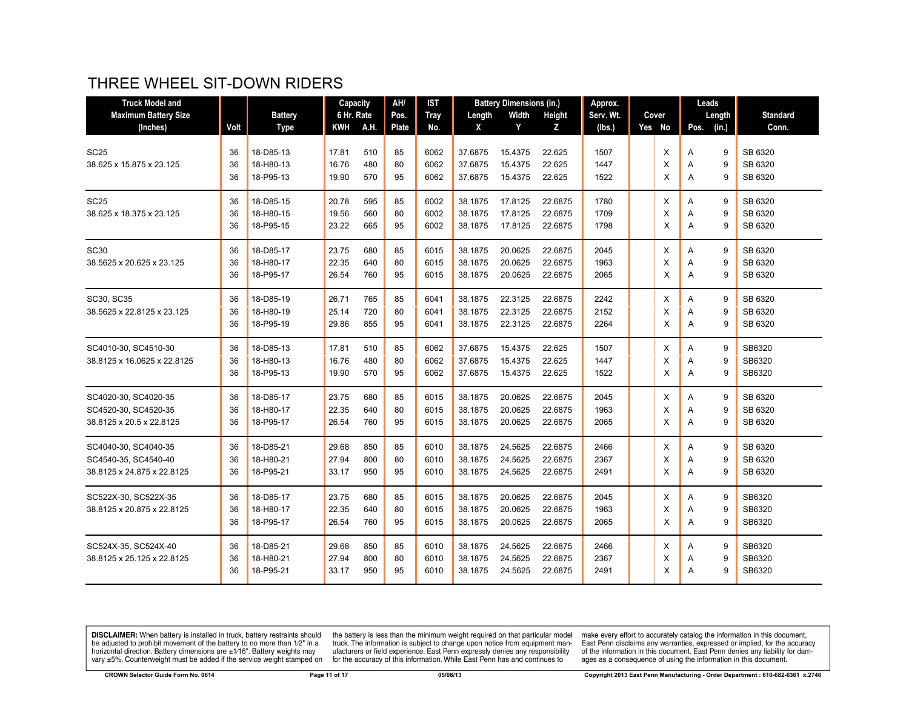# THREE WHEEL SIT-DOWN RIDERS

| <b>Truck Model and</b>      |      |                | Capacity   |             | AH/   | <b>IST</b>  |         | <b>Battery Dimensions (in.)</b> |         | Approx.   |        | Leads |        |                 |
|-----------------------------|------|----------------|------------|-------------|-------|-------------|---------|---------------------------------|---------|-----------|--------|-------|--------|-----------------|
| <b>Maximum Battery Size</b> |      | <b>Battery</b> | 6 Hr. Rate |             | Pos.  | <b>Tray</b> | Length  | Width                           | Height  | Serv. Wt. | Cover  |       | Length | <b>Standard</b> |
| (Inches)                    | Volt | <b>Type</b>    | KWH        | <b>A.H.</b> | Plate | No.         | X       | Y                               | Z       | (lbs.)    | Yes No | Pos.  | (in.)  | Conn.           |
|                             |      |                |            |             |       |             |         |                                 |         |           |        |       |        |                 |
| <b>SC25</b>                 | 36   | 18-D85-13      | 17.81      | 510         | 85    | 6062        | 37.6875 | 15.4375                         | 22.625  | 1507      | X      | A     | 9      | SB 6320         |
| 38.625 x 15.875 x 23.125    | 36   | 18-H80-13      | 16.76      | 480         | 80    | 6062        | 37.6875 | 15.4375                         | 22.625  | 1447      | X      | Α     | 9      | SB 6320         |
|                             | 36   | 18-P95-13      | 19.90      | 570         | 95    | 6062        | 37.6875 | 15.4375                         | 22.625  | 1522      | X      | A     | 9      | SB 6320         |
| <b>SC25</b>                 | 36   | 18-D85-15      | 20.78      | 595         | 85    | 6002        | 38.1875 | 17.8125                         | 22.6875 | 1780      | X      | A     | 9      | SB 6320         |
| 38.625 x 18.375 x 23.125    | 36   | 18-H80-15      | 19.56      | 560         | 80    | 6002        | 38.1875 | 17.8125                         | 22.6875 | 1709      | X      | A     | 9      | SB 6320         |
|                             | 36   | 18-P95-15      | 23.22      | 665         | 95    | 6002        | 38.1875 | 17.8125                         | 22.6875 | 1798      | X      | A     | 9      | SB 6320         |
| <b>SC30</b>                 | 36   | 18-D85-17      | 23.75      | 680         | 85    | 6015        | 38.1875 | 20.0625                         | 22.6875 | 2045      | X      | A     | 9      | SB 6320         |
| 38.5625 x 20.625 x 23.125   | 36   | 18-H80-17      | 22.35      | 640         | 80    | 6015        | 38.1875 | 20.0625                         | 22.6875 | 1963      | X      | Α     | 9      | SB 6320         |
|                             | 36   | 18-P95-17      | 26.54      | 760         | 95    | 6015        | 38.1875 | 20.0625                         | 22.6875 | 2065      | X      | A     | 9      | SB 6320         |
| SC30, SC35                  | 36   | 18-D85-19      | 26.71      | 765         | 85    | 6041        | 38.1875 | 22.3125                         | 22.6875 | 2242      | X      | A     | 9      | SB 6320         |
| 38.5625 x 22.8125 x 23.125  | 36   | 18-H80-19      | 25.14      | 720         | 80    | 6041        | 38.1875 | 22.3125                         | 22.6875 | 2152      | X      | Α     | 9      | SB 6320         |
|                             | 36   | 18-P95-19      | 29.86      | 855         | 95    | 6041        | 38.1875 | 22.3125                         | 22.6875 | 2264      | X      | A     | 9      | SB 6320         |
| SC4010-30, SC4510-30        | 36   | 18-D85-13      | 17.81      | 510         | 85    | 6062        | 37.6875 | 15.4375                         | 22.625  | 1507      | X      | Α     | 9      | SB6320          |
| 38.8125 x 16.0625 x 22.8125 | 36   | 18-H80-13      | 16.76      | 480         | 80    | 6062        | 37.6875 | 15.4375                         | 22.625  | 1447      | X      | A     | 9      | SB6320          |
|                             | 36   | 18-P95-13      | 19.90      | 570         | 95    | 6062        | 37.6875 | 15.4375                         | 22.625  | 1522      | X      | Α     | 9      | SB6320          |
| SC4020-30, SC4020-35        | 36   | 18-D85-17      | 23.75      | 680         | 85    | 6015        | 38.1875 | 20.0625                         | 22.6875 | 2045      | X      | A     | 9      | SB 6320         |
| SC4520-30, SC4520-35        | 36   | 18-H80-17      | 22.35      | 640         | 80    | 6015        | 38.1875 | 20.0625                         | 22.6875 | 1963      | X      | A     | 9      | SB 6320         |
| 38.8125 x 20.5 x 22.8125    | 36   | 18-P95-17      | 26.54      | 760         | 95    | 6015        | 38.1875 | 20.0625                         | 22.6875 | 2065      | X      | A     | 9      | SB 6320         |
| SC4040-30, SC4040-35        | 36   | 18-D85-21      | 29.68      | 850         | 85    | 6010        | 38.1875 | 24.5625                         | 22.6875 | 2466      | X      | A     | 9      | SB 6320         |
| SC4540-35, SC4540-40        | 36   | 18-H80-21      | 27.94      | 800         | 80    | 6010        | 38.1875 | 24.5625                         | 22.6875 | 2367      | X      | Α     | 9      | SB 6320         |
| 38.8125 x 24.875 x 22.8125  | 36   | 18-P95-21      | 33.17      | 950         | 95    | 6010        | 38.1875 | 24.5625                         | 22.6875 | 2491      | X      | A     | 9      | SB 6320         |
| SC522X-30, SC522X-35        | 36   | 18-D85-17      | 23.75      | 680         | 85    | 6015        | 38.1875 | 20.0625                         | 22.6875 | 2045      | X      | A     | 9      | SB6320          |
| 38.8125 x 20.875 x 22.8125  | 36   | 18-H80-17      | 22.35      | 640         | 80    | 6015        | 38.1875 | 20.0625                         | 22.6875 | 1963      | X      | A     | 9      | SB6320          |
|                             | 36   | 18-P95-17      | 26.54      | 760         | 95    | 6015        | 38.1875 | 20.0625                         | 22.6875 | 2065      | X      | Α     | 9      | SB6320          |
| SC524X-35, SC524X-40        | 36   | 18-D85-21      | 29.68      | 850         | 85    | 6010        | 38.1875 | 24.5625                         | 22.6875 | 2466      | X      | Α     | 9      | SB6320          |
| 38.8125 x 25.125 x 22.8125  | 36   | 18-H80-21      | 27.94      | 800         | 80    | 6010        | 38.1875 | 24.5625                         | 22.6875 | 2367      | X      | A     | 9      | SB6320          |
|                             | 36   | 18-P95-21      | 33.17      | 950         | 95    | 6010        | 38.1875 | 24.5625                         | 22.6875 | 2491      | X      | A     | 9      | SB6320          |

**DISCLAIMER:** When battery is installed in truck, battery restraints should be adjusted to prohibit movement of the battery to no more than  $1/2$ " in a horizontal direction. Battery dimensions are  $\pm 1/16$ ". Battery weig vary ±5%. Counterweight must be added if the service weight stamped on

the battery is less than the minimum weight required on that particular model<br>truck. The information is subject to change upon notice from equipment man-<br>ufacturers or field experience. East Penn expressly denies any respo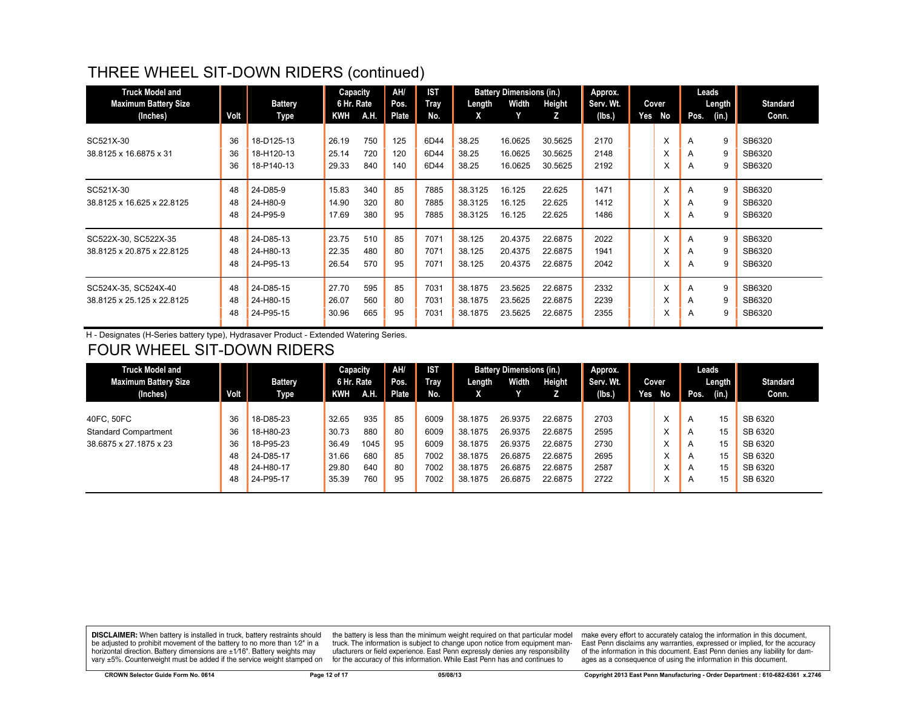# THREE WHEEL SIT-DOWN RIDERS (continued)

| <b>Truck Model and</b><br><b>Maximum Battery Size</b> |      | <b>Battery</b> | Capacity<br>6 Hr. Rate |      | AH/<br>Pos. | <b>IST</b><br><b>Tray</b> | Length  | <b>Battery Dimensions (in.)</b><br>Width | Height  | Approx.<br>Serv. Wt. |     | Cover |      | Leads<br>Length | <b>Standard</b> |
|-------------------------------------------------------|------|----------------|------------------------|------|-------------|---------------------------|---------|------------------------------------------|---------|----------------------|-----|-------|------|-----------------|-----------------|
| (Inches)                                              | Volt | Type           | KWH                    | A.H. | Plate       | No.                       | X       |                                          | z       | (lbs.)               | Yes | No    | Pos. | (in.)           | Conn.           |
|                                                       |      |                |                        |      |             |                           |         |                                          |         |                      |     |       |      |                 |                 |
| SC521X-30                                             | 36   | 18-D125-13     | 26.19                  | 750  | 125         | 6D44                      | 38.25   | 16.0625                                  | 30.5625 | 2170                 |     | X     | A    | 9               | SB6320          |
| 38.8125 x 16.6875 x 31                                | 36   | 18-H120-13     | 25.14                  | 720  | 120         | 6D44                      | 38.25   | 16.0625                                  | 30.5625 | 2148                 |     | X     | A    | 9               | SB6320          |
|                                                       | 36   | 18-P140-13     | 29.33                  | 840  | 140         | 6D44                      | 38.25   | 16.0625                                  | 30.5625 | 2192                 |     | X     | A    | 9               | SB6320          |
| SC521X-30                                             | 48   | 24-D85-9       | 15.83                  | 340  | 85          | 7885                      | 38.3125 | 16.125                                   | 22.625  | 1471                 |     | X     | A    | 9               | SB6320          |
| 38.8125 x 16.625 x 22.8125                            | 48   | 24-H80-9       | 14.90                  | 320  | 80          | 7885                      | 38.3125 | 16.125                                   | 22.625  | 1412                 |     | X     | A    | 9               | SB6320          |
|                                                       | 48   | 24-P95-9       | 17.69                  | 380  | 95          | 7885                      | 38.3125 | 16.125                                   | 22.625  | 1486                 |     | X     | A    | 9               | SB6320          |
| SC522X-30, SC522X-35                                  | 48   | 24-D85-13      | 23.75                  | 510  | 85          | 7071                      | 38.125  | 20.4375                                  | 22.6875 | 2022                 |     | X     | A    | 9               | SB6320          |
| 38.8125 x 20.875 x 22.8125                            | 48   | 24-H80-13      | 22.35                  | 480  | 80          | 7071                      | 38.125  | 20.4375                                  | 22.6875 | 1941                 |     | X     | A    | 9               | SB6320          |
|                                                       | 48   | 24-P95-13      | 26.54                  | 570  | 95          | 7071                      | 38.125  | 20.4375                                  | 22.6875 | 2042                 |     | x     | A    | 9               | SB6320          |
| SC524X-35, SC524X-40                                  | 48   | 24-D85-15      | 27.70                  | 595  | 85          | 7031                      | 38.1875 | 23.5625                                  | 22.6875 | 2332                 |     | X     | A    | 9               | SB6320          |
| 38.8125 x 25.125 x 22.8125                            | 48   | 24-H80-15      | 26.07                  | 560  | 80          | 7031                      | 38.1875 | 23.5625                                  | 22.6875 | 2239                 |     | X     | A    | 9               | SB6320          |
|                                                       | 48   | 24-P95-15      | 30.96                  | 665  | 95          | 7031                      | 38.1875 | 23.5625                                  | 22.6875 | 2355                 |     | x     | A    | 9               | SB6320          |

H - Designates (H-Series battery type), Hydrasaver Product - Extended Watering Series.

# FOUR WHEEL SIT-DOWN RIDERS

| <b>Truck Model and</b>      |      |                | Capacity   |             | AH/          | <b>IST</b> |         | <b>Battery Dimensions (in.)</b> |         | Approx.   |     |        |              | Leads  |                 |
|-----------------------------|------|----------------|------------|-------------|--------------|------------|---------|---------------------------------|---------|-----------|-----|--------|--------------|--------|-----------------|
| <b>Maximum Battery Size</b> |      | <b>Battery</b> | 6 Hr. Rate |             | Pos.         | Tray       | Length  | Width                           | Height  | Serv. Wt. |     | Cover  |              | Length | <b>Standard</b> |
| (Inches)                    | Volt | <b>Type</b>    | <b>KWH</b> | <b>A.H.</b> | <b>Plate</b> | No.        |         |                                 |         | (Ibs.)    | Yes | No     | Pos.         | (in.)  | Conn.           |
|                             |      |                |            |             |              |            |         |                                 |         |           |     |        |              |        |                 |
| 40FC, 50FC                  | 36   | 18-D85-23      | 32.65      | 935         | 85           | 6009       | 38.1875 | 26.9375                         | 22.6875 | 2703      |     | ́      | A            | 15     | SB 6320         |
| <b>Standard Compartment</b> | 36   | 18-H80-23      | 30.73      | 880         | 80           | 6009       | 38.1875 | 26.9375                         | 22.6875 | 2595      |     |        | A            | 15     | SB 6320         |
| 38.6875 x 27.1875 x 23      | 36   | 18-P95-23      | 36.49      | 1045        | 95           | 6009       | 38.1875 | 26.9375                         | 22.6875 | 2730      |     |        | $\mathsf{A}$ | 15     | SB 6320         |
|                             | 48   | 24-D85-17      | 31.66      | 680         | 85           | 7002       | 38.1875 | 26.6875                         | 22.6875 | 2695      |     |        | A            | 15     | SB 6320         |
|                             | 48   | 24-H80-17      | 29.80      | 640         | 80           | 7002       | 38.1875 | 26.6875                         | 22.6875 | 2587      |     | $\sim$ | A            | 15     | SB 6320         |
|                             | 48   | 24-P95-17      | 35.39      | 760         | 95           | 7002       | 38.1875 | 26.6875                         | 22.6875 | 2722      |     |        | A            | 15     | SB 6320         |
|                             |      |                |            |             |              |            |         |                                 |         |           |     |        |              |        |                 |

**DISCLAIMER:** When battery is installed in truck, battery restraints should be adjusted to prohibit movement of the battery to no more than 1/2" in a horizontal direction. Battery dimensions are  $\pm 1/16$ ". Battery weights may vary ±5%. Counterweight must be added if the service weight stamped on

the battery is less than the minimum weight required on that particular model<br>truck. The information is subject to change upon notice from equipment manufacturers or field experience. East Penn expressly denies any responsibility for the accuracy of this information. While East Penn has and continues to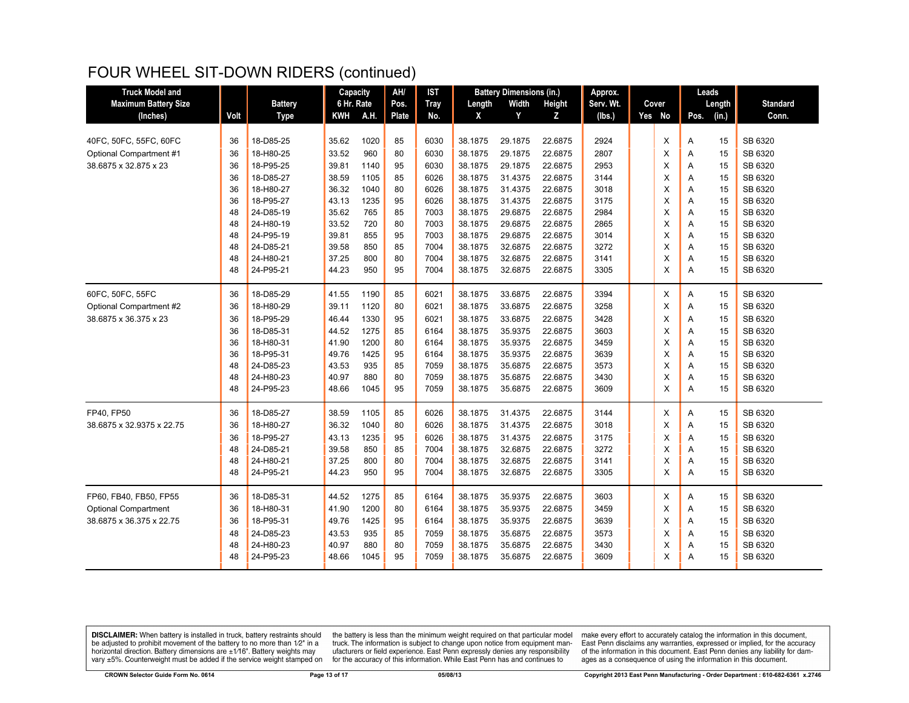## FOUR WHEEL SIT-DOWN RIDERS (continued)

| <b>Truck Model and</b>      |          |                | Capacity   |      | AH/          | <b>IST</b>   |         | <b>Battery Dimensions (in.)</b> |                    | Approx.   |  |        |                | Leads  |                 |
|-----------------------------|----------|----------------|------------|------|--------------|--------------|---------|---------------------------------|--------------------|-----------|--|--------|----------------|--------|-----------------|
| <b>Maximum Battery Size</b> |          | <b>Battery</b> | 6 Hr. Rate |      | Pos.         | <b>Tray</b>  | Length  | Width                           | Height             | Serv. Wt. |  | Cover  |                | Length | <b>Standard</b> |
| (Inches)                    | Volt     | <b>Type</b>    | <b>KWH</b> | A.H. | <b>Plate</b> | No.          | X       | Y                               | Z                  | (Ibs.     |  | Yes No | Pos.           | (in.)  | Conn.           |
|                             |          |                |            |      |              |              |         |                                 |                    |           |  |        |                |        |                 |
| 40FC, 50FC, 55FC, 60FC      | 36       | 18-D85-25      | 35.62      | 1020 | 85           | 6030         | 38.1875 | 29.1875                         | 22.6875            | 2924      |  | X      | A              | 15     | SB 6320         |
| Optional Compartment #1     | 36       | 18-H80-25      | 33.52      | 960  | 80           | 6030         | 38.1875 | 29.1875                         | 22.6875            | 2807      |  | X      | A              | 15     | SB 6320         |
| 38.6875 x 32.875 x 23       | 36       | 18-P95-25      | 39.81      | 1140 | 95           | 6030         | 38.1875 | 29.1875                         | 22.6875            | 2953      |  | X      | Α              | 15     | SB 6320         |
|                             | 36       | 18-D85-27      | 38.59      | 1105 | 85           | 6026         | 38.1875 | 31.4375                         | 22.6875            | 3144      |  | х      | Α              | 15     | SB 6320         |
|                             | 36       | 18-H80-27      | 36.32      | 1040 | 80           | 6026         | 38.1875 | 31.4375                         | 22.6875            | 3018      |  | X      | A              | 15     | SB 6320         |
|                             | 36       | 18-P95-27      | 43.13      | 1235 | 95           | 6026         | 38.1875 | 31.4375                         | 22.6875            | 3175      |  | X      | Α              | 15     | SB 6320         |
|                             | 48       | 24-D85-19      | 35.62      | 765  | 85           | 7003         | 38.1875 | 29.6875                         | 22.6875            | 2984      |  | X      | A              | 15     | SB 6320         |
|                             | 48       | 24-H80-19      | 33.52      | 720  | 80           | 7003         | 38.1875 | 29.6875                         | 22.6875            | 2865      |  | X      | A              | 15     | SB 6320         |
|                             | 48       | 24-P95-19      | 39.81      | 855  | 95           | 7003         | 38.1875 | 29.6875                         | 22.6875            | 3014      |  | X      | A              | 15     | SB 6320         |
|                             | 48       | 24-D85-21      | 39.58      | 850  | 85           | 7004         | 38.1875 | 32.6875                         | 22.6875            | 3272      |  | X      | A              | 15     | SB 6320         |
|                             | 48       | 24-H80-21      | 37.25      | 800  | 80           | 7004         | 38.1875 | 32.6875                         | 22.6875            | 3141      |  | X      | Α              | 15     | SB 6320         |
|                             | 48       | 24-P95-21      | 44.23      | 950  | 95           | 7004         | 38.1875 | 32.6875                         | 22.6875            | 3305      |  | X      | A              | 15     | SB 6320         |
| 60FC, 50FC, 55FC            | 36       | 18-D85-29      | 41.55      | 1190 | 85           | 6021         | 38.1875 | 33.6875                         | 22.6875            | 3394      |  | X      | A              | 15     | SB 6320         |
| Optional Compartment #2     | 36       | 18-H80-29      | 39.11      | 1120 | 80           | 6021         | 38.1875 | 33.6875                         | 22.6875            | 3258      |  | X      | A              | 15     | SB 6320         |
| 38.6875 x 36.375 x 23       | 36       | 18-P95-29      | 46.44      | 1330 | 95           | 6021         | 38.1875 | 33.6875                         | 22.6875            | 3428      |  | X      | A              | 15     | SB 6320         |
|                             | 36       | 18-D85-31      | 44.52      | 1275 | 85           | 6164         | 38.1875 | 35.9375                         | 22.6875            | 3603      |  | X      | A              | 15     | SB 6320         |
|                             | 36       | 18-H80-31      | 41.90      | 1200 | 80           | 6164         | 38.1875 | 35.9375                         | 22.6875            | 3459      |  | X      | Α              | 15     | SB 6320         |
|                             | 36       | 18-P95-31      | 49.76      | 1425 | 95           | 6164         | 38.1875 | 35.9375                         | 22.6875            | 3639      |  | X      | A              | 15     | SB 6320         |
|                             | 48       | 24-D85-23      | 43.53      | 935  | 85           | 7059         | 38.1875 | 35.6875                         | 22.6875            | 3573      |  | х      | A              | 15     | SB 6320         |
|                             | 48       | 24-H80-23      | 40.97      | 880  | 80           | 7059         | 38.1875 | 35.6875                         | 22.6875            | 3430      |  | X      | A              | 15     | SB 6320         |
|                             | 48       | 24-P95-23      | 48.66      | 1045 | 95           | 7059         | 38.1875 | 35.6875                         | 22.6875            | 3609      |  | X      | A              | 15     | SB 6320         |
| FP40, FP50                  | 36       | 18-D85-27      | 38.59      | 1105 | 85           | 6026         | 38.1875 | 31.4375                         | 22.6875            | 3144      |  | X      | $\overline{A}$ | 15     | SB 6320         |
| 38.6875 x 32.9375 x 22.75   | 36       | 18-H80-27      | 36.32      | 1040 | 80           | 6026         | 38.1875 | 31.4375                         | 22.6875            | 3018      |  | X      | A              | 15     | SB 6320         |
|                             | 36       | 18-P95-27      | 43.13      | 1235 | 95           | 6026         | 38.1875 | 31.4375                         | 22.6875            | 3175      |  | х      | Α              | 15     | SB 6320         |
|                             | 48       | 24-D85-21      | 39.58      | 850  | 85           | 7004         | 38.1875 | 32.6875                         | 22.6875            | 3272      |  | X      | A              | 15     | SB 6320         |
|                             | 48       | 24-H80-21      | 37.25      | 800  | 80           | 7004         | 38.1875 | 32.6875                         | 22.6875            | 3141      |  | х      | Α              | 15     | SB 6320         |
|                             | 48       | 24-P95-21      | 44.23      | 950  | 95           | 7004         | 38.1875 | 32.6875                         | 22.6875            | 3305      |  | X      | A              | 15     | SB 6320         |
| FP60, FB40, FB50, FP55      | 36       | 18-D85-31      | 44.52      | 1275 | 85           | 6164         | 38.1875 | 35.9375                         | 22.6875            | 3603      |  | X      | A              | 15     | SB 6320         |
| <b>Optional Compartment</b> | 36       | 18-H80-31      | 41.90      | 1200 | 80           | 6164         | 38.1875 | 35.9375                         | 22.6875            | 3459      |  | X      | A              | 15     | SB 6320         |
| 38.6875 x 36.375 x 22.75    | 36       | 18-P95-31      | 49.76      | 1425 | 95           | 6164         | 38.1875 | 35.9375                         | 22.6875            | 3639      |  | X      | A              | 15     | SB 6320         |
|                             |          | 24-D85-23      | 43.53      | 935  |              |              | 38.1875 | 35.6875                         |                    | 3573      |  |        |                | 15     | SB 6320         |
|                             | 48<br>48 | 24-H80-23      | 40.97      | 880  | 85<br>80     | 7059<br>7059 | 38.1875 | 35.6875                         | 22.6875<br>22.6875 | 3430      |  | х<br>X | A<br>A         | 15     | SB 6320         |
|                             | 48       | 24-P95-23      | 48.66      | 1045 | 95           | 7059         | 38.1875 | 35.6875                         | 22.6875            | 3609      |  | X      | A              | 15     | SB 6320         |
|                             |          |                |            |      |              |              |         |                                 |                    |           |  |        |                |        |                 |

**DISCLAIMER:** When battery is installed in truck, battery restraints should be adjusted to prohibit movement of the battery to no more than  $1/2$ " in a horizontal direction. Battery dimensions are  $\pm 1/16$ ". Battery weig

the battery is less than the minimum weight required on that particular model<br>truck. The information is subject to change upon notice from equipment man-<br>ufacturers or field experience. East Penn expressly denies any respo for the accuracy of this information. While East Penn has and continues to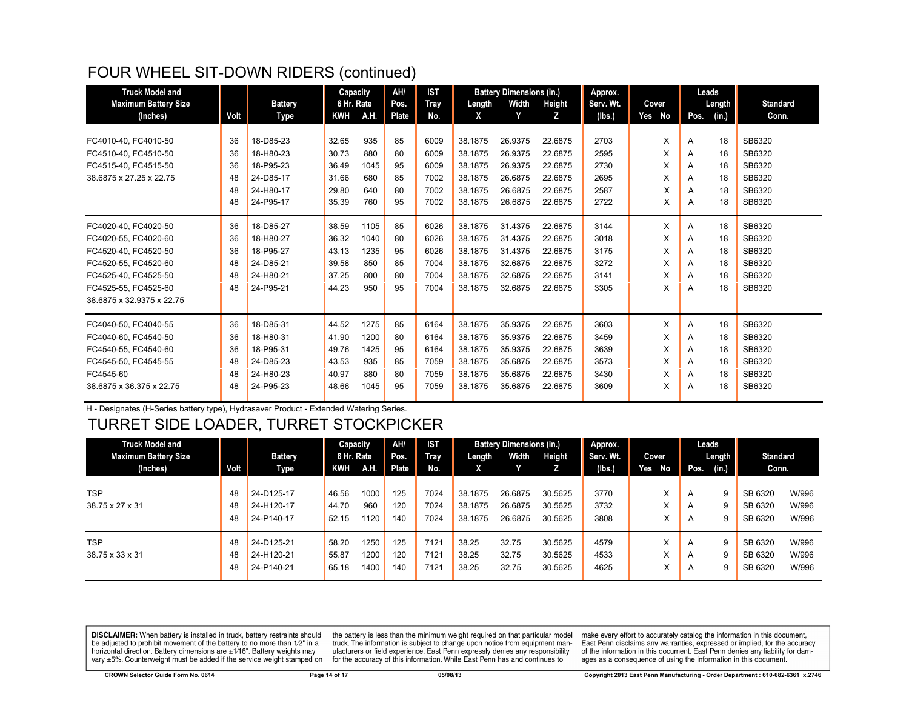# FOUR WHEEL SIT-DOWN RIDERS (continued)

| <b>Truck Model and</b>      |      |                | Capacity   |      | AH/   | <b>IST</b>  |         | <b>Battery Dimensions (in.)</b> |         | Approx.   |        |      | Leads  |                 |
|-----------------------------|------|----------------|------------|------|-------|-------------|---------|---------------------------------|---------|-----------|--------|------|--------|-----------------|
| <b>Maximum Battery Size</b> |      | <b>Battery</b> | 6 Hr. Rate |      | Pos.  | <b>Tray</b> | Length  | Width                           | Height  | Serv. Wt. | Cover  |      | Length | <b>Standard</b> |
| (Inches)                    | Volt | Type           | <b>KWH</b> | A.H. | Plate | No.         | X       | Y                               | z       | (Ibs.)    | Yes No | Pos. | (in.)  | Conn.           |
|                             |      |                |            |      |       |             |         |                                 |         |           |        |      |        |                 |
| FC4010-40, FC4010-50        | 36   | 18-D85-23      | 32.65      | 935  | 85    | 6009        | 38.1875 | 26.9375                         | 22.6875 | 2703      | X      | A    | 18     | SB6320          |
| FC4510-40, FC4510-50        | 36   | 18-H80-23      | 30.73      | 880  | 80    | 6009        | 38.1875 | 26.9375                         | 22.6875 | 2595      | X      | A    | 18     | SB6320          |
| FC4515-40, FC4515-50        | 36   | 18-P95-23      | 36.49      | 1045 | 95    | 6009        | 38.1875 | 26.9375                         | 22.6875 | 2730      | X      | A    | 18     | SB6320          |
| 38.6875 x 27.25 x 22.75     | 48   | 24-D85-17      | 31.66      | 680  | 85    | 7002        | 38.1875 | 26.6875                         | 22.6875 | 2695      | X      | A    | 18     | SB6320          |
|                             | 48   | 24-H80-17      | 29.80      | 640  | 80    | 7002        | 38.1875 | 26.6875                         | 22.6875 | 2587      | X      | A    | 18     | SB6320          |
|                             | 48   | 24-P95-17      | 35.39      | 760  | 95    | 7002        | 38.1875 | 26.6875                         | 22.6875 | 2722      | X      | A    | 18     | SB6320          |
| FC4020-40, FC4020-50        | 36   | 18-D85-27      | 38.59      | 1105 | 85    | 6026        | 38.1875 | 31.4375                         | 22.6875 | 3144      | X      | A    | 18     | SB6320          |
| FC4020-55, FC4020-60        | 36   | 18-H80-27      | 36.32      | 1040 | 80    | 6026        | 38.1875 | 31.4375                         | 22.6875 | 3018      | X      | A    | 18     | SB6320          |
| FC4520-40. FC4520-50        | 36   | 18-P95-27      | 43.13      | 1235 | 95    | 6026        | 38.1875 | 31.4375                         | 22.6875 | 3175      | X      | A    | 18     | SB6320          |
| FC4520-55. FC4520-60        | 48   | 24-D85-21      | 39.58      | 850  | 85    | 7004        | 38.1875 | 32.6875                         | 22.6875 | 3272      | X      | A    | 18     | SB6320          |
| FC4525-40. FC4525-50        | 48   | 24-H80-21      | 37.25      | 800  | 80    | 7004        | 38.1875 | 32.6875                         | 22.6875 | 3141      | X      | A    | 18     | SB6320          |
| FC4525-55, FC4525-60        | 48   | 24-P95-21      | 44.23      | 950  | 95    | 7004        | 38.1875 | 32.6875                         | 22.6875 | 3305      | X      | A    | 18     | SB6320          |
| 38.6875 x 32.9375 x 22.75   |      |                |            |      |       |             |         |                                 |         |           |        |      |        |                 |
| FC4040-50, FC4040-55        | 36   | 18-D85-31      | 44.52      | 1275 | 85    | 6164        | 38.1875 | 35.9375                         | 22.6875 | 3603      | X      | A    | 18     | SB6320          |
| FC4040-60, FC4540-50        | 36   | 18-H80-31      | 41.90      | 1200 | 80    | 6164        | 38.1875 | 35.9375                         | 22.6875 | 3459      | X      | A    | 18     | SB6320          |
| FC4540-55, FC4540-60        | 36   | 18-P95-31      | 49.76      | 1425 | 95    | 6164        | 38.1875 | 35.9375                         | 22.6875 | 3639      | X      | A    | 18     | SB6320          |
| FC4545-50, FC4545-55        | 48   | 24-D85-23      | 43.53      | 935  | 85    | 7059        | 38.1875 | 35.6875                         | 22.6875 | 3573      | X      | A    | 18     | SB6320          |
| FC4545-60                   | 48   | 24-H80-23      | 40.97      | 880  | 80    | 7059        | 38.1875 | 35.6875                         | 22.6875 | 3430      | X      | A    | 18     | SB6320          |
| 38.6875 x 36.375 x 22.75    | 48   | 24-P95-23      | 48.66      | 1045 | 95    | 7059        | 38.1875 | 35.6875                         | 22.6875 | 3609      | X      | A    | 18     | SB6320          |

H - Designates (H-Series battery type), Hydrasaver Product - Extended Watering Series.

#### TURRET SIDE LOADER, TURRET STOCKPICKER

| <b>Truck Model and</b>      |      |                | Capacity   |      | AH/   | <b>IST</b> |         | <b>Battery Dimensions (in.)</b> |         | Approx.   |     |           | Leads          |        |                 |       |
|-----------------------------|------|----------------|------------|------|-------|------------|---------|---------------------------------|---------|-----------|-----|-----------|----------------|--------|-----------------|-------|
| <b>Maximum Battery Size</b> |      | <b>Battery</b> | 6 Hr. Rate |      | Pos.  | Tray       | Length  | Width                           | Height  | Serv. Wt. |     | Cover     |                | Length | <b>Standard</b> |       |
| (Inches)                    | Volt | Type           | KWH        | A.H. | Plate | No.        | x       |                                 |         | (Ibs.)    | Yes | No        | Pos.           | (in.)  | Conn.           |       |
|                             |      |                |            |      |       |            |         |                                 |         |           |     |           |                |        |                 |       |
| <b>TSP</b>                  | 48   | 24-D125-17     | 46.56      | 1000 | 125   | 7024       | 38.1875 | 26.6875                         | 30.5625 | 3770      |     | ㅅ         | A              | 9      | SB 6320         | W/996 |
| 38.75 x 27 x 31             | 48   | 24-H120-17     | 44.70      | 960  | 120   | 7024       | 38.1875 | 26.6875                         | 30.5625 | 3732      |     | ́         | A              | 9      | SB 6320         | W/996 |
|                             | 48   | 24-P140-17     | 52.15      | 1120 | 140   | 7024       | 38.1875 | 26.6875                         | 30.5625 | 3808      |     |           | A              | 9      | SB 6320         | W/996 |
|                             |      |                |            |      |       |            |         |                                 |         |           |     |           |                |        |                 |       |
| <b>TSP</b>                  | 48   | 24-D125-21     | 58.20      | 1250 | 125   | 7121       | 38.25   | 32.75                           | 30.5625 | 4579      |     | ⋏         | A              | 9      | SB 6320         | W/996 |
| 38.75 x 33 x 31             | 48   | 24-H120-21     | 55.87      | 1200 | 120   | 7121       | 38.25   | 32.75                           | 30.5625 | 4533      |     | $\lambda$ | $\overline{A}$ | 9      | SB 6320         | W/996 |
|                             | 48   | 24-P140-21     | 65.18      | 1400 | 140   | 7121       | 38.25   | 32.75                           | 30.5625 | 4625      |     |           | A              | 9      | SB 6320         | W/996 |

**DISCLAIMER:** When battery is installed in truck, battery restraints should be adjusted to prohibit movement of the battery to no more than 1/2" in a horizontal direction. Battery dimensions are  $\pm 1/16$ ". Battery weights may vary ±5%. Counterweight must be added if the service weight stamped on

the battery is less than the minimum weight required on that particular model truck. The information is subject to change upon notice from equipment manufacturers or field experience. East Penn expressly denies any responsibility for the accuracy of this information. While East Penn has and continues to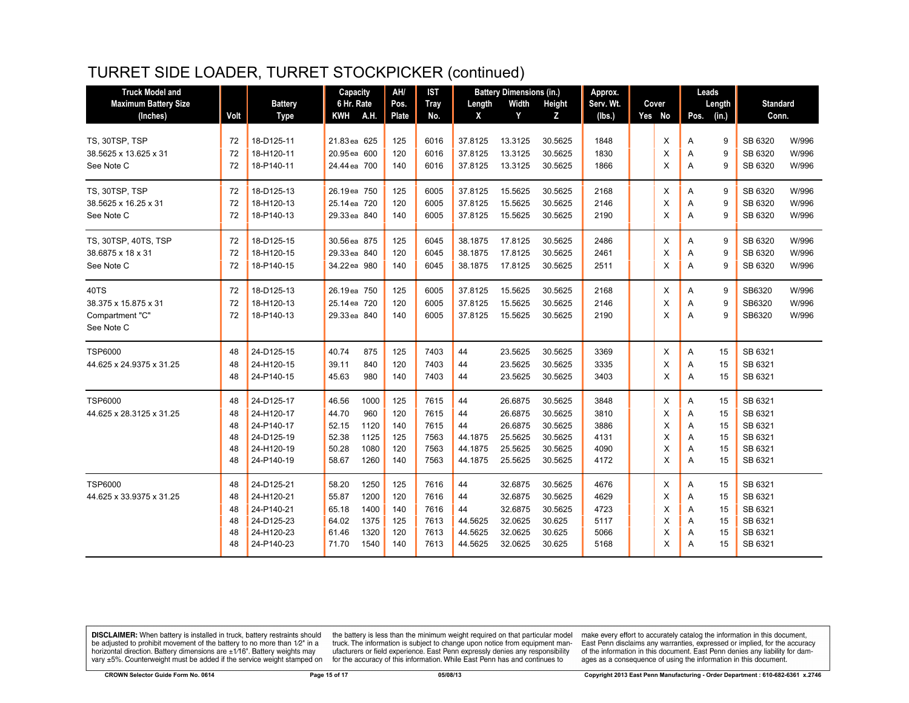# TURRET SIDE LOADER, TURRET STOCKPICKER (continued)

| <b>Truck Model and</b>              |          |                          | Capacity                     |      | AH/        | <b>IST</b>   |                    | <b>Battery Dimensions (in.)</b> |                    | Approx.      |        |        | Leads  |                    |                |
|-------------------------------------|----------|--------------------------|------------------------------|------|------------|--------------|--------------------|---------------------------------|--------------------|--------------|--------|--------|--------|--------------------|----------------|
| <b>Maximum Battery Size</b>         |          | <b>Battery</b>           | 6 Hr. Rate                   |      | Pos.       | <b>Tray</b>  | Length             | Width                           | Height             | Serv. Wt.    | Cover  |        | Length | <b>Standard</b>    |                |
| (Inches)                            | Volt     | <b>Type</b>              | <b>KWH</b>                   | A.H. | Plate      | No.          | X                  | Y                               | Z                  | (lbs.)       | Yes No | Pos.   | (in.)  | Conn.              |                |
|                                     |          |                          |                              |      |            |              |                    |                                 |                    |              |        |        |        |                    |                |
| TS, 30TSP, TSP                      | 72       | 18-D125-11               | 21.83 ea 625                 |      | 125        | 6016         | 37.8125            | 13.3125                         | 30.5625            | 1848         | X      | Α      | 9      | SB 6320            | W/996          |
| 38.5625 x 13.625 x 31<br>See Note C | 72<br>72 | 18-H120-11<br>18-P140-11 | 20.95 ea 600<br>24.44 ea 700 |      | 120<br>140 | 6016<br>6016 | 37.8125<br>37.8125 | 13.3125<br>13.3125              | 30.5625<br>30.5625 | 1830<br>1866 | X<br>X | A<br>A | 9<br>9 | SB 6320<br>SB 6320 | W/996<br>W/996 |
|                                     |          |                          |                              |      |            |              |                    |                                 |                    |              |        |        |        |                    |                |
| TS, 30TSP, TSP                      | 72       | 18-D125-13               | 26.19ea 750                  |      | 125        | 6005         | 37.8125            | 15.5625                         | 30.5625            | 2168         | X      | A      | 9      | SB 6320            | W/996          |
| 38.5625 x 16.25 x 31                | 72       | 18-H120-13               | 25.14 ea 720                 |      | 120        | 6005         | 37.8125            | 15.5625                         | 30.5625            | 2146         | X      | A      | 9      | SB 6320            | W/996          |
| See Note C                          | 72       | 18-P140-13               | 29.33 ea 840                 |      | 140        | 6005         | 37.8125            | 15.5625                         | 30.5625            | 2190         | X      | Α      | 9      | SB 6320            | W/996          |
| TS, 30TSP, 40TS, TSP                | 72       | 18-D125-15               | 30.56 ea 875                 |      | 125        | 6045         | 38.1875            | 17.8125                         | 30.5625            | 2486         | X      | A      | 9      | SB 6320            | W/996          |
| 38.6875 x 18 x 31                   | 72       | 18-H120-15               | 29.33 ea 840                 |      | 120        | 6045         | 38.1875            | 17.8125                         | 30.5625            | 2461         | X      | A      | 9      | SB 6320            | W/996          |
| See Note C                          | 72       | 18-P140-15               | 34.22 ea 980                 |      | 140        | 6045         | 38.1875            | 17.8125                         | 30.5625            | 2511         | x      | A      | 9      | SB 6320            | W/996          |
|                                     |          |                          |                              |      |            |              |                    |                                 |                    |              |        |        |        |                    |                |
| 40TS<br>38.375 x 15.875 x 31        | 72<br>72 | 18-D125-13<br>18-H120-13 | 26.19ea 750<br>25.14 ea 720  |      | 125<br>120 | 6005<br>6005 | 37.8125<br>37.8125 | 15.5625<br>15.5625              | 30.5625<br>30.5625 | 2168<br>2146 | X<br>X | Α<br>A | 9<br>9 | SB6320<br>SB6320   | W/996<br>W/996 |
| Compartment "C"                     | 72       | 18-P140-13               | 29.33 ea 840                 |      | 140        | 6005         | 37.8125            | 15.5625                         | 30.5625            | 2190         | X      | A      | 9      | SB6320             | W/996          |
| See Note C                          |          |                          |                              |      |            |              |                    |                                 |                    |              |        |        |        |                    |                |
|                                     |          |                          |                              |      |            |              |                    |                                 |                    |              |        |        |        |                    |                |
| <b>TSP6000</b>                      | 48       | 24-D125-15               | 40.74                        | 875  | 125        | 7403         | 44                 | 23.5625                         | 30.5625            | 3369         | X      | Α      | 15     | SB 6321            |                |
| 44.625 x 24.9375 x 31.25            | 48       | 24-H120-15               | 39.11                        | 840  | 120        | 7403         | 44                 | 23.5625                         | 30.5625            | 3335         | X      | A      | 15     | SB 6321            |                |
|                                     | 48       | 24-P140-15               | 45.63                        | 980  | 140        | 7403         | 44                 | 23.5625                         | 30.5625            | 3403         | Χ      | Α      | 15     | SB 6321            |                |
| <b>TSP6000</b>                      | 48       | 24-D125-17               | 46.56                        | 1000 | 125        | 7615         | 44                 | 26.6875                         | 30.5625            | 3848         | X      | Α      | 15     | SB 6321            |                |
| 44.625 x 28.3125 x 31.25            | 48       | 24-H120-17               | 44.70                        | 960  | 120        | 7615         | 44                 | 26.6875                         | 30.5625            | 3810         | X      | A      | 15     | SB 6321            |                |
|                                     | 48       | 24-P140-17               | 52.15                        | 1120 | 140        | 7615         | 44                 | 26.6875                         | 30.5625            | 3886         | Χ      | Α      | 15     | SB 6321            |                |
|                                     | 48       | 24-D125-19               | 52.38                        | 1125 | 125        | 7563         | 44.1875            | 25.5625                         | 30.5625            | 4131         | X      | A      | 15     | SB 6321            |                |
|                                     | 48       | 24-H120-19               | 50.28                        | 1080 | 120        | 7563         | 44.1875            | 25.5625                         | 30.5625            | 4090         | X      | A      | 15     | SB 6321            |                |
|                                     | 48       | 24-P140-19               | 58.67                        | 1260 | 140        | 7563         | 44.1875            | 25.5625                         | 30.5625            | 4172         | X      | A      | 15     | SB 6321            |                |
| <b>TSP6000</b>                      | 48       | 24-D125-21               | 58.20                        | 1250 | 125        | 7616         | 44                 | 32.6875                         | 30.5625            | 4676         | X      | Α      | 15     | SB 6321            |                |
| 44.625 x 33.9375 x 31.25            | 48       | 24-H120-21               | 55.87                        | 1200 | 120        | 7616         | 44                 | 32.6875                         | 30.5625            | 4629         | X      | Α      | 15     | SB 6321            |                |
|                                     | 48       | 24-P140-21               | 65.18                        | 1400 | 140        | 7616         | 44                 | 32.6875                         | 30.5625            | 4723         | Χ      | Α      | 15     | SB 6321            |                |
|                                     | 48       | 24-D125-23               | 64.02                        | 1375 | 125        | 7613         | 44.5625            | 32.0625                         | 30.625             | 5117         | X      | A      | 15     | SB 6321            |                |
|                                     | 48       | 24-H120-23               | 61.46                        | 1320 | 120        | 7613         | 44.5625            | 32.0625                         | 30.625             | 5066         | X      | Α      | 15     | SB 6321            |                |
|                                     | 48       | 24-P140-23               | 71.70                        | 1540 | 140        | 7613         | 44.5625            | 32.0625                         | 30.625             | 5168         | X      | A      | 15     | SB 6321            |                |

**DISCLAIMER:** When battery is installed in truck, battery restraints should be adjusted to prohibit movement of the battery to no more than  $1/2$ " in a horizontal direction. Battery dimensions are  $\pm 1/16$ ". Battery weig

the battery is less than the minimum weight required on that particular model<br>truck. The information is subject to change upon notice from equipment manufacturers or field experience. East Penn expressly denies any responsibility for the accuracy of this information. While East Penn has and continues to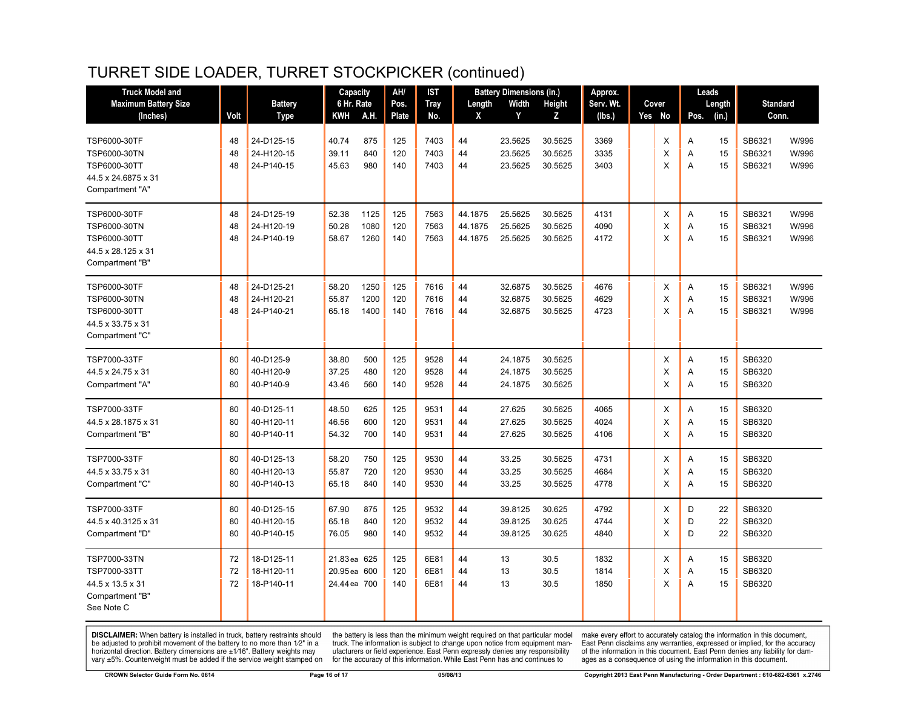# TURRET SIDE LOADER, TURRET STOCKPICKER (continued)

| <b>Truck Model and</b>      |      |                | Capacity     |      | AH/          | <b>IST</b>  |         | <b>Battery Dimensions (in.)</b> |               | Approx.   |          |                |        | Leads           |       |
|-----------------------------|------|----------------|--------------|------|--------------|-------------|---------|---------------------------------|---------------|-----------|----------|----------------|--------|-----------------|-------|
| <b>Maximum Battery Size</b> |      | <b>Battery</b> | 6 Hr. Rate   |      | Pos.         | <b>Tray</b> | Length  | Width                           | <b>Height</b> | Serv. Wt. | Cover    |                | Length | <b>Standard</b> |       |
| (Inches)                    | Volt | Type           | <b>KWH</b>   | A.H. | <b>Plate</b> | No.         | X       | Y                               | Z             | (lbs.)    | Yes No   | Pos.           | (in.)  | Conn.           |       |
| TSP6000-30TF                | 48   | 24-D125-15     | 40.74        | 875  | 125          | 7403        | 44      | 23.5625                         | 30.5625       | 3369      | X        | Α              | 15     | SB6321          | W/996 |
| TSP6000-30TN                | 48   | 24-H120-15     | 39.11        | 840  | 120          | 7403        | 44      | 23.5625                         | 30.5625       | 3335      | X        | A              | 15     | SB6321          | W/996 |
| TSP6000-30TT                | 48   | 24-P140-15     | 45.63        | 980  | 140          | 7403        | 44      | 23.5625                         | 30.5625       | 3403      | X        | A              | 15     | SB6321          | W/996 |
| 44.5 x 24.6875 x 31         |      |                |              |      |              |             |         |                                 |               |           |          |                |        |                 |       |
| Compartment "A"             |      |                |              |      |              |             |         |                                 |               |           |          |                |        |                 |       |
| TSP6000-30TF                | 48   | 24-D125-19     | 52.38        | 1125 | 125          | 7563        | 44.1875 | 25.5625                         | 30.5625       | 4131      | X        | A              | 15     | SB6321          | W/996 |
| TSP6000-30TN                | 48   | 24-H120-19     | 50.28        | 1080 | 120          | 7563        | 44.1875 | 25.5625                         | 30.5625       | 4090      | $\times$ | A              | 15     | SB6321          | W/996 |
| TSP6000-30TT                | 48   | 24-P140-19     | 58.67        | 1260 | 140          | 7563        | 44.1875 | 25.5625                         | 30.5625       | 4172      | X        | $\overline{A}$ | 15     | SB6321          | W/996 |
| 44.5 x 28.125 x 31          |      |                |              |      |              |             |         |                                 |               |           |          |                |        |                 |       |
| Compartment "B"             |      |                |              |      |              |             |         |                                 |               |           |          |                |        |                 |       |
| TSP6000-30TF                | 48   | 24-D125-21     | 58.20        | 1250 | 125          | 7616        | 44      | 32.6875                         | 30.5625       | 4676      | Х        | Α              | 15     | SB6321          | W/996 |
| TSP6000-30TN                | 48   | 24-H120-21     | 55.87        | 1200 | 120          | 7616        | 44      | 32.6875                         | 30.5625       | 4629      | X        | Α              | 15     | SB6321          | W/996 |
| TSP6000-30TT                | 48   | 24-P140-21     | 65.18        | 1400 | 140          | 7616        | 44      | 32.6875                         | 30.5625       | 4723      | X        | A              | 15     | SB6321          | W/996 |
| 44.5 x 33.75 x 31           |      |                |              |      |              |             |         |                                 |               |           |          |                |        |                 |       |
| Compartment "C"             |      |                |              |      |              |             |         |                                 |               |           |          |                |        |                 |       |
| TSP7000-33TF                | 80   | 40-D125-9      | 38.80        | 500  | 125          | 9528        | 44      | 24.1875                         | 30.5625       |           | Х        | Α              | 15     | SB6320          |       |
| 44.5 x 24.75 x 31           | 80   | 40-H120-9      | 37.25        | 480  | 120          | 9528        | 44      | 24.1875                         | 30.5625       |           | X        | A              | 15     | SB6320          |       |
| Compartment "A"             | 80   | 40-P140-9      | 43.46        | 560  | 140          | 9528        | 44      | 24.1875                         | 30.5625       |           | $\times$ | A              | 15     | SB6320          |       |
| TSP7000-33TF                | 80   | 40-D125-11     | 48.50        | 625  | 125          | 9531        | 44      | 27.625                          | 30.5625       | 4065      | X        | Α              | 15     | SB6320          |       |
| 44.5 x 28.1875 x 31         | 80   | 40-H120-11     | 46.56        | 600  | 120          | 9531        | 44      | 27.625                          | 30.5625       | 4024      | X        | Α              | 15     | SB6320          |       |
| Compartment "B"             | 80   | 40-P140-11     | 54.32        | 700  | 140          | 9531        | 44      | 27.625                          | 30.5625       | 4106      | X        | A              | 15     | SB6320          |       |
| TSP7000-33TF                | 80   | 40-D125-13     | 58.20        | 750  | 125          | 9530        | 44      | 33.25                           | 30.5625       | 4731      | X        | Α              | 15     | SB6320          |       |
| 44.5 x 33.75 x 31           | 80   | 40-H120-13     | 55.87        | 720  | 120          | 9530        | 44      | 33.25                           | 30.5625       | 4684      | X        | Α              | 15     | SB6320          |       |
| Compartment "C"             | 80   | 40-P140-13     | 65.18        | 840  | 140          | 9530        | 44      | 33.25                           | 30.5625       | 4778      | X        | A              | 15     | SB6320          |       |
| TSP7000-33TF                | 80   | 40-D125-15     | 67.90        | 875  | 125          | 9532        | 44      | 39.8125                         | 30.625        | 4792      | X        | D              | 22     | SB6320          |       |
| 44.5 x 40.3125 x 31         | 80   | 40-H120-15     | 65.18        | 840  | 120          | 9532        | 44      | 39.8125                         | 30.625        | 4744      | X        | D              | 22     | SB6320          |       |
| Compartment "D"             | 80   | 40-P140-15     | 76.05        | 980  | 140          | 9532        | 44      | 39.8125                         | 30.625        | 4840      | X        | D              | 22     | SB6320          |       |
| TSP7000-33TN                | 72   | 18-D125-11     | 21.83 ea 625 |      | 125          | 6E81        | 44      | 13                              | 30.5          | 1832      | X        | A              | 15     | SB6320          |       |
| TSP7000-33TT                | 72   | 18-H120-11     | 20.95 ea 600 |      | 120          | 6E81        | 44      | 13                              | 30.5          | 1814      | X        | A              | 15     | SB6320          |       |
| 44.5 x 13.5 x 31            | 72   | 18-P140-11     | 24.44 ea 700 |      | 140          | 6E81        | 44      | 13                              | 30.5          | 1850      | X        | A              | 15     | SB6320          |       |
| Compartment "B"             |      |                |              |      |              |             |         |                                 |               |           |          |                |        |                 |       |
| See Note C                  |      |                |              |      |              |             |         |                                 |               |           |          |                |        |                 |       |
|                             |      |                |              |      |              |             |         |                                 |               |           |          |                |        |                 |       |

**DISCLAIMER:** When battery is installed in truck, battery restraints should be adjusted to prohibit movement of the battery to no more than  $1/2$ " in a horizontal direction. Battery dimensions are  $\pm 1/16$ ". Battery weig

the battery is less than the minimum weight required on that particular model<br>truck. The information is subject to change upon notice from equipment manufacturers or field experience. East Penn expressly denies any responsibility for the accuracy of this information. While East Penn has and continues to